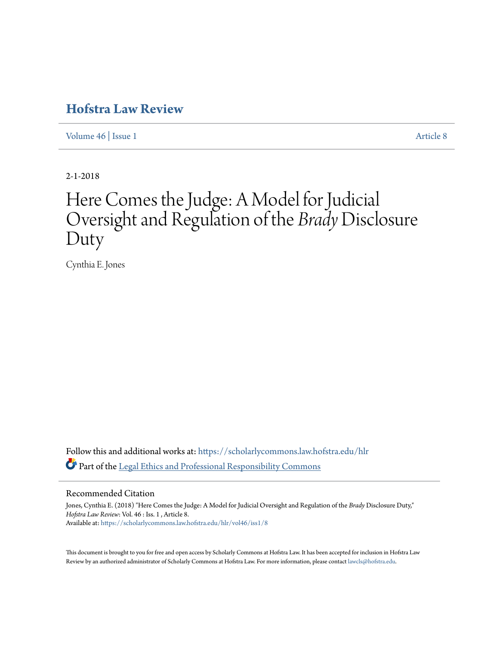# **[Hofstra Law Review](https://scholarlycommons.law.hofstra.edu/hlr?utm_source=scholarlycommons.law.hofstra.edu%2Fhlr%2Fvol46%2Fiss1%2F8&utm_medium=PDF&utm_campaign=PDFCoverPages)**

[Volume 46](https://scholarlycommons.law.hofstra.edu/hlr/vol46?utm_source=scholarlycommons.law.hofstra.edu%2Fhlr%2Fvol46%2Fiss1%2F8&utm_medium=PDF&utm_campaign=PDFCoverPages) | [Issue 1](https://scholarlycommons.law.hofstra.edu/hlr/vol46/iss1?utm_source=scholarlycommons.law.hofstra.edu%2Fhlr%2Fvol46%2Fiss1%2F8&utm_medium=PDF&utm_campaign=PDFCoverPages) [Article 8](https://scholarlycommons.law.hofstra.edu/hlr/vol46/iss1/8?utm_source=scholarlycommons.law.hofstra.edu%2Fhlr%2Fvol46%2Fiss1%2F8&utm_medium=PDF&utm_campaign=PDFCoverPages)

2-1-2018

# Here Comes the Judge: A Model for Judicial Oversight and Regulation of the *Brady* Disclosure Duty

Cynthia E. Jones

Follow this and additional works at: [https://scholarlycommons.law.hofstra.edu/hlr](https://scholarlycommons.law.hofstra.edu/hlr?utm_source=scholarlycommons.law.hofstra.edu%2Fhlr%2Fvol46%2Fiss1%2F8&utm_medium=PDF&utm_campaign=PDFCoverPages) Part of the [Legal Ethics and Professional Responsibility Commons](http://network.bepress.com/hgg/discipline/895?utm_source=scholarlycommons.law.hofstra.edu%2Fhlr%2Fvol46%2Fiss1%2F8&utm_medium=PDF&utm_campaign=PDFCoverPages)

# Recommended Citation

Jones, Cynthia E. (2018) "Here Comes the Judge: A Model for Judicial Oversight and Regulation of the *Brady* Disclosure Duty," *Hofstra Law Review*: Vol. 46 : Iss. 1 , Article 8. Available at: [https://scholarlycommons.law.hofstra.edu/hlr/vol46/iss1/8](https://scholarlycommons.law.hofstra.edu/hlr/vol46/iss1/8?utm_source=scholarlycommons.law.hofstra.edu%2Fhlr%2Fvol46%2Fiss1%2F8&utm_medium=PDF&utm_campaign=PDFCoverPages)

This document is brought to you for free and open access by Scholarly Commons at Hofstra Law. It has been accepted for inclusion in Hofstra Law Review by an authorized administrator of Scholarly Commons at Hofstra Law. For more information, please contact [lawcls@hofstra.edu](mailto:lawcls@hofstra.edu).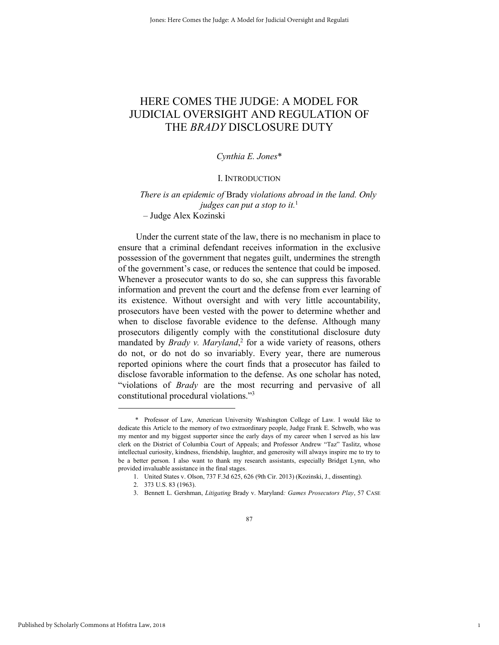# HERE COMES THE JUDGE: A MODEL FOR JUDICIAL OVERSIGHT AND REGULATION OF THE *BRADY* DISCLOSURE DUTY

#### *Cynthia E. Jones*\*

#### I. INTRODUCTION

# *There is an epidemic of* Brady *violations abroad in the land. Only judges can put a stop to it.*<sup>1</sup> – Judge Alex Kozinski

Under the current state of the law, there is no mechanism in place to ensure that a criminal defendant receives information in the exclusive possession of the government that negates guilt, undermines the strength of the government's case, or reduces the sentence that could be imposed. Whenever a prosecutor wants to do so, she can suppress this favorable information and prevent the court and the defense from ever learning of its existence. Without oversight and with very little accountability, prosecutors have been vested with the power to determine whether and when to disclose favorable evidence to the defense. Although many prosecutors diligently comply with the constitutional disclosure duty mandated by *Brady v. Maryland*<sup>2</sup>, for a wide variety of reasons, others do not, or do not do so invariably. Every year, there are numerous reported opinions where the court finds that a prosecutor has failed to disclose favorable information to the defense. As one scholar has noted, "violations of *Brady* are the most recurring and pervasive of all constitutional procedural violations." 3

l

1

 <sup>\*</sup> Professor of Law, American University Washington College of Law. I would like to dedicate this Article to the memory of two extraordinary people, Judge Frank E. Schwelb, who was my mentor and my biggest supporter since the early days of my career when I served as his law clerk on the District of Columbia Court of Appeals; and Professor Andrew "Taz" Taslitz, whose intellectual curiosity, kindness, friendship, laughter, and generosity will always inspire me to try to be a better person. I also want to thank my research assistants, especially Bridget Lynn, who provided invaluable assistance in the final stages.

<sup>1.</sup> United States v. Olson, 737 F.3d 625, 626 (9th Cir. 2013) (Kozinski, J., dissenting).

<sup>2. 373</sup> U.S. 83 (1963).

<sup>3.</sup> Bennett L. Gershman, *Litigating* Brady v. Maryland*: Games Prosecutors Play*, 57 CASE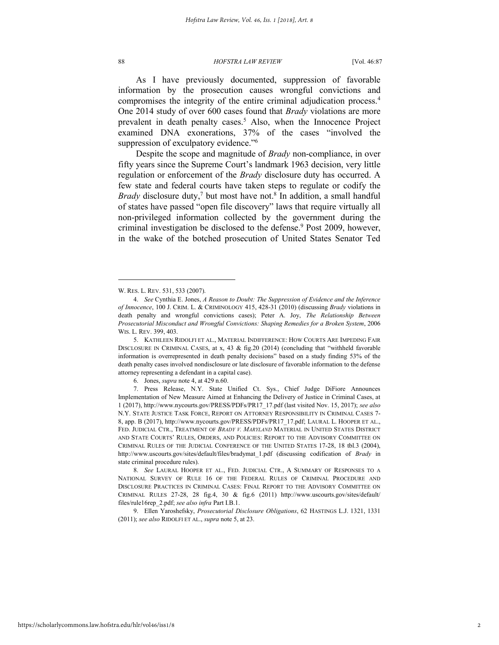As I have previously documented, suppression of favorable information by the prosecution causes wrongful convictions and compromises the integrity of the entire criminal adjudication process.<sup>4</sup> One 2014 study of over 600 cases found that *Brady* violations are more prevalent in death penalty cases.<sup>5</sup> Also, when the Innocence Project examined DNA exonerations, 37% of the cases "involved the suppression of exculpatory evidence."<sup>6</sup>

Despite the scope and magnitude of *Brady* non-compliance, in over fifty years since the Supreme Court's landmark 1963 decision, very little regulation or enforcement of the *Brady* disclosure duty has occurred. A few state and federal courts have taken steps to regulate or codify the *Brady* disclosure duty,<sup>7</sup> but most have not.<sup>8</sup> In addition, a small handful of states have passed "open file discovery" laws that require virtually all non-privileged information collected by the government during the criminal investigation be disclosed to the defense.<sup>9</sup> Post 2009, however, in the wake of the botched prosecution of United States Senator Ted

W. RES. L. REV. 531, 533 (2007).

<sup>4.</sup> *See* Cynthia E. Jones, *A Reason to Doubt: The Suppression of Evidence and the Inference of Innocence*, 100 J. CRIM. L. & CRIMINOLOGY 415, 428-31 (2010) (discussing *Brady* violations in death penalty and wrongful convictions cases); Peter A. Joy, *The Relationship Between Prosecutorial Misconduct and Wrongful Convictions: Shaping Remedies for a Broken System*, 2006 WIS. L. REV. 399, 403.

<sup>5.</sup> KATHLEEN RIDOLFI ET AL., MATERIAL INDIFFERENCE: HOW COURTS ARE IMPEDING FAIR DISCLOSURE IN CRIMINAL CASES, at x, 43 & fig.20 (2014) (concluding that "withheld favorable information is overrepresented in death penalty decisions" based on a study finding 53% of the death penalty cases involved nondisclosure or late disclosure of favorable information to the defense attorney representing a defendant in a capital case).

<sup>6.</sup> Jones, *supra* note 4, at 429 n.60.

<sup>7.</sup> Press Release, N.Y. State Unified Ct. Sys., Chief Judge DiFiore Announces Implementation of New Measure Aimed at Enhancing the Delivery of Justice in Criminal Cases, at 1 (2017), http://www.nycourts.gov/PRESS/PDFs/PR17\_17.pdf (last visited Nov. 15, 2017); *see also* N.Y. STATE JUSTICE TASK FORCE, REPORT ON ATTORNEY RESPONSIBILITY IN CRIMINAL CASES 7- 8, app. B (2017), http://www.nycourts.gov/PRESS/PDFs/PR17\_17.pdf; LAURAL L. HOOPER ET AL., FED. JUDICIAL CTR., TREATMENT OF *BRADY V. MARYLAND* MATERIAL IN UNITED STATES DISTRICT AND STATE COURTS' RULES, ORDERS, AND POLICIES: REPORT TO THE ADVISORY COMMITTEE ON CRIMINAL RULES OF THE JUDICIAL CONFERENCE OF THE UNITED STATES 17-28, 18 tbl.3 (2004), http://www.uscourts.gov/sites/default/files/bradymat\_1.pdf (discussing codification of *Brady* in state criminal procedure rules).

<sup>8.</sup> *See* LAURAL HOOPER ET AL., FED. JUDICIAL CTR., A SUMMARY OF RESPONSES TO A NATIONAL SURVEY OF RULE 16 OF THE FEDERAL RULES OF CRIMINAL PROCEDURE AND DISCLOSURE PRACTICES IN CRIMINAL CASES: FINAL REPORT TO THE ADVISORY COMMITTEE ON CRIMINAL RULES 27-28, 28 fig.4, 30 & fig.6 (2011) http://www.uscourts.gov/sites/default/ files/rule16rep\_2.pdf; *see also infra* Part I.B.1.

<sup>9.</sup> Ellen Yaroshefsky, *Prosecutorial Disclosure Obligations*, 62 HASTINGS L.J. 1321, 1331 (2011); *see also* RIDOLFI ET AL., *supra* note 5, at 23.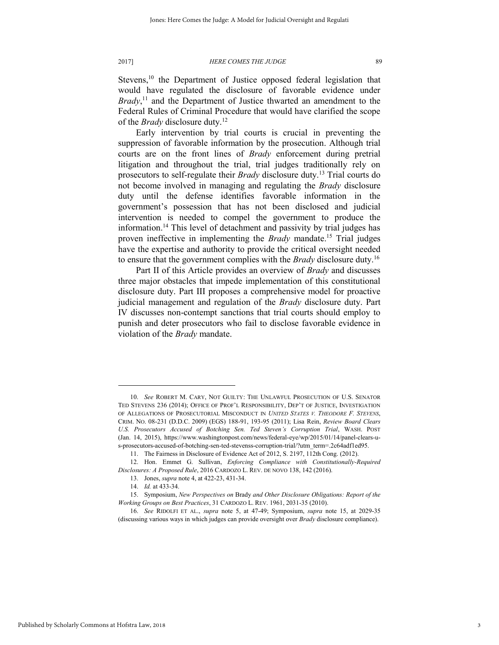Stevens,<sup>10</sup> the Department of Justice opposed federal legislation that would have regulated the disclosure of favorable evidence under *Brady*,<sup>11</sup> and the Department of Justice thwarted an amendment to the Federal Rules of Criminal Procedure that would have clarified the scope of the *Brady* disclosure duty.<sup>12</sup>

Early intervention by trial courts is crucial in preventing the suppression of favorable information by the prosecution. Although trial courts are on the front lines of *Brady* enforcement during pretrial litigation and throughout the trial, trial judges traditionally rely on prosecutors to self-regulate their *Brady* disclosure duty.<sup>13</sup> Trial courts do not become involved in managing and regulating the *Brady* disclosure duty until the defense identifies favorable information in the government's possession that has not been disclosed and judicial intervention is needed to compel the government to produce the information.<sup>14</sup> This level of detachment and passivity by trial judges has proven ineffective in implementing the *Brady* mandate.<sup>15</sup> Trial judges have the expertise and authority to provide the critical oversight needed to ensure that the government complies with the *Brady* disclosure duty.<sup>16</sup>

Part II of this Article provides an overview of *Brady* and discusses three major obstacles that impede implementation of this constitutional disclosure duty. Part III proposes a comprehensive model for proactive judicial management and regulation of the *Brady* disclosure duty. Part IV discusses non-contempt sanctions that trial courts should employ to punish and deter prosecutors who fail to disclose favorable evidence in violation of the *Brady* mandate.

<sup>10.</sup> *See* ROBERT M. CARY, NOT GUILTY: THE UNLAWFUL PROSECUTION OF U.S. SENATOR TED STEVENS 236 (2014); OFFICE OF PROF'L RESPONSIBILITY, DEP'T OF JUSTICE, INVESTIGATION OF ALLEGATIONS OF PROSECUTORIAL MISCONDUCT IN *UNITED STATES V. THEODORE F. STEVENS*, CRIM. NO. 08-231 (D.D.C. 2009) (EGS) 188-91, 193-95 (2011); Lisa Rein, *Review Board Clears U.S. Prosecutors Accused of Botching Sen. Ted Steven's Corruption Trial*, WASH. POST (Jan. 14, 2015), https://www.washingtonpost.com/news/federal-eye/wp/2015/01/14/panel-clears-us-prosecutors-accused-of-botching-sen-ted-stevenss-corruption-trial/?utm\_term=.2c64adf1ed95.

<sup>11.</sup> The Fairness in Disclosure of Evidence Act of 2012, S. 2197, 112th Cong. (2012).

<sup>12.</sup> Hon. Emmet G. Sullivan, *Enforcing Compliance with Constitutionally-Required Disclosures: A Proposed Rule*, 2016 CARDOZO L. REV. DE NOVO 138, 142 (2016).

<sup>13.</sup> Jones, *supra* note 4, at 422-23, 431-34.

<sup>14.</sup> *Id.* at 433-34.

<sup>15.</sup> Symposium, *New Perspectives on* Brady *and Other Disclosure Obligations: Report of the Working Groups on Best Practices*, 31 CARDOZO L. REV. 1961, 2031-35 (2010).

<sup>16.</sup> *See* RIDOLFI ET AL., *supra* note 5, at 47-49; Symposium, *supra* note 15, at 2029-35 (discussing various ways in which judges can provide oversight over *Brady* disclosure compliance).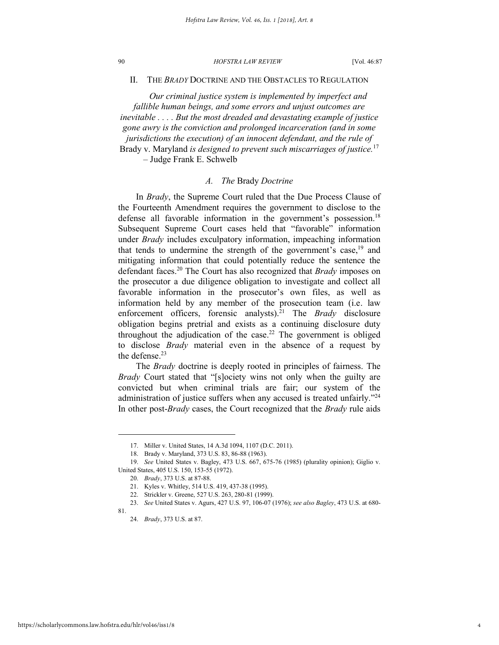#### II. THE *BRADY* DOCTRINE AND THE OBSTACLES TO REGULATION

*Our criminal justice system is implemented by imperfect and fallible human beings, and some errors and unjust outcomes are inevitable . . . . But the most dreaded and devastating example of justice gone awry is the conviction and prolonged incarceration (and in some jurisdictions the execution) of an innocent defendant, and the rule of* 

Brady v. Maryland *is designed to prevent such miscarriages of justice.*<sup>17</sup> – Judge Frank E. Schwelb

#### *A. The* Brady *Doctrine*

In *Brady*, the Supreme Court ruled that the Due Process Clause of the Fourteenth Amendment requires the government to disclose to the defense all favorable information in the government's possession.<sup>18</sup> Subsequent Supreme Court cases held that "favorable" information under *Brady* includes exculpatory information, impeaching information that tends to undermine the strength of the government's case,  $19$  and mitigating information that could potentially reduce the sentence the defendant faces.<sup>20</sup> The Court has also recognized that *Brady* imposes on the prosecutor a due diligence obligation to investigate and collect all favorable information in the prosecutor's own files, as well as information held by any member of the prosecution team (i.e. law enforcement officers, forensic analysts).<sup>21</sup> The *Brady* disclosure obligation begins pretrial and exists as a continuing disclosure duty throughout the adjudication of the case.<sup>22</sup> The government is obliged to disclose *Brady* material even in the absence of a request by the defense.<sup>23</sup>

The *Brady* doctrine is deeply rooted in principles of fairness. The *Brady* Court stated that "[s]ociety wins not only when the guilty are convicted but when criminal trials are fair; our system of the administration of justice suffers when any accused is treated unfairly."<sup>24</sup> In other post-*Brady* cases, the Court recognized that the *Brady* rule aids

<sup>17.</sup> Miller v. United States, 14 A.3d 1094, 1107 (D.C. 2011).

<sup>18.</sup> Brady v. Maryland, 373 U.S. 83, 86-88 (1963).

<sup>19.</sup> *See* United States v. Bagley, 473 U.S. 667, 675-76 (1985) (plurality opinion); Giglio v. United States, 405 U.S. 150, 153-55 (1972).

<sup>20.</sup> *Brady*, 373 U.S. at 87-88.

<sup>21.</sup> Kyles v. Whitley, 514 U.S. 419, 437-38 (1995).

<sup>22.</sup> Strickler v. Greene, 527 U.S. 263, 280-81 (1999).

<sup>23.</sup> *See* United States v. Agurs, 427 U.S. 97, 106-07 (1976); *see also Bagley*, 473 U.S. at 680- 81.

<sup>24.</sup> *Brady*, 373 U.S. at 87.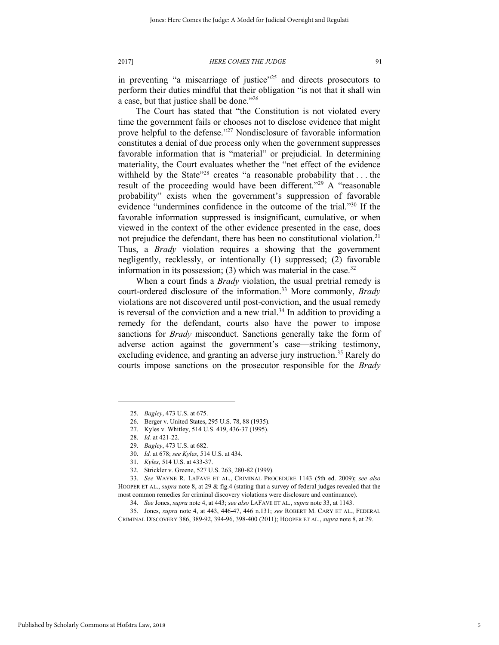in preventing "a miscarriage of justice" <sup>25</sup> and directs prosecutors to perform their duties mindful that their obligation "is not that it shall win a case, but that justice shall be done."<sup>26</sup>

The Court has stated that "the Constitution is not violated every time the government fails or chooses not to disclose evidence that might prove helpful to the defense." <sup>27</sup> Nondisclosure of favorable information constitutes a denial of due process only when the government suppresses favorable information that is "material" or prejudicial. In determining materiality, the Court evaluates whether the "net effect of the evidence withheld by the State<sup> $128$ </sup> creates "a reasonable probability that . . . the result of the proceeding would have been different."<sup>29</sup> A "reasonable probability" exists when the government's suppression of favorable evidence "undermines confidence in the outcome of the trial." <sup>30</sup> If the favorable information suppressed is insignificant, cumulative, or when viewed in the context of the other evidence presented in the case, does not prejudice the defendant, there has been no constitutional violation.<sup>31</sup> Thus, a *Brady* violation requires a showing that the government negligently, recklessly, or intentionally (1) suppressed; (2) favorable information in its possession; (3) which was material in the case.<sup>32</sup>

When a court finds a *Brady* violation, the usual pretrial remedy is court-ordered disclosure of the information.<sup>33</sup> More commonly, *Brady* violations are not discovered until post-conviction, and the usual remedy is reversal of the conviction and a new trial.<sup>34</sup> In addition to providing a remedy for the defendant, courts also have the power to impose sanctions for *Brady* misconduct. Sanctions generally take the form of adverse action against the government's case—striking testimony, excluding evidence, and granting an adverse jury instruction.<sup>35</sup> Rarely do courts impose sanctions on the prosecutor responsible for the *Brady*

<sup>25.</sup> *Bagley*, 473 U.S. at 675.

<sup>26.</sup> Berger v. United States, 295 U.S. 78, 88 (1935).

<sup>27.</sup> Kyles v. Whitley, 514 U.S. 419, 436-37 (1995).

<sup>28.</sup> *Id.* at 421-22.

<sup>29.</sup> *Bagley*, 473 U.S. at 682.

<sup>30.</sup> *Id.* at 678; *see Kyles*, 514 U.S. at 434.

<sup>31.</sup> *Kyles*, 514 U.S. at 433-37.

<sup>32.</sup> Strickler v. Greene, 527 U.S. 263, 280-82 (1999).

<sup>33.</sup> *See* WAYNE R. LAFAVE ET AL., CRIMINAL PROCEDURE 1143 (5th ed. 2009); *see also* HOOPER ET AL., *supra* note 8, at 29 & fig.4 (stating that a survey of federal judges revealed that the most common remedies for criminal discovery violations were disclosure and continuance).

<sup>34.</sup> *See* Jones, *supra* note 4, at 443; *see also* LAFAVE ET AL., *supra* note 33, at 1143.

<sup>35.</sup> Jones, *supra* note 4, at 443, 446-47, 446 n.131; *see* ROBERT M. CARY ET AL., FEDERAL CRIMINAL DISCOVERY 386, 389-92, 394-96, 398-400 (2011); HOOPER ET AL., *supra* note 8, at 29.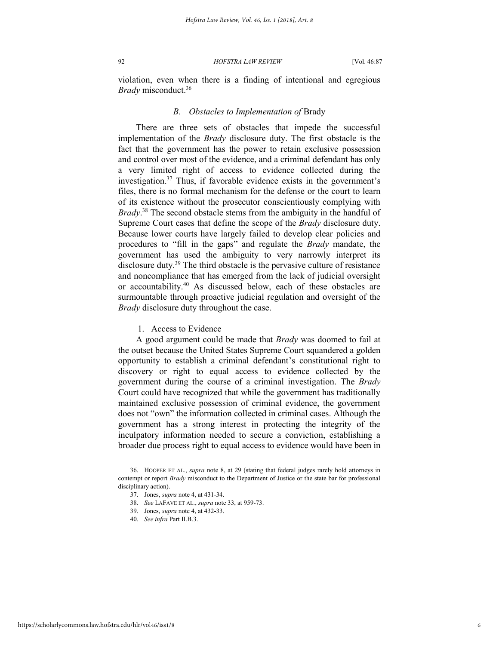violation, even when there is a finding of intentional and egregious *Brady* misconduct.<sup>36</sup>

#### *B. Obstacles to Implementation of* Brady

There are three sets of obstacles that impede the successful implementation of the *Brady* disclosure duty. The first obstacle is the fact that the government has the power to retain exclusive possession and control over most of the evidence, and a criminal defendant has only a very limited right of access to evidence collected during the investigation.<sup>37</sup> Thus, if favorable evidence exists in the government's files, there is no formal mechanism for the defense or the court to learn of its existence without the prosecutor conscientiously complying with *Brady*. <sup>38</sup> The second obstacle stems from the ambiguity in the handful of Supreme Court cases that define the scope of the *Brady* disclosure duty. Because lower courts have largely failed to develop clear policies and procedures to "fill in the gaps" and regulate the *Brady* mandate, the government has used the ambiguity to very narrowly interpret its disclosure duty.<sup>39</sup> The third obstacle is the pervasive culture of resistance and noncompliance that has emerged from the lack of judicial oversight or accountability.<sup>40</sup> As discussed below, each of these obstacles are surmountable through proactive judicial regulation and oversight of the *Brady* disclosure duty throughout the case.

#### 1. Access to Evidence

A good argument could be made that *Brady* was doomed to fail at the outset because the United States Supreme Court squandered a golden opportunity to establish a criminal defendant's constitutional right to discovery or right to equal access to evidence collected by the government during the course of a criminal investigation. The *Brady* Court could have recognized that while the government has traditionally maintained exclusive possession of criminal evidence, the government does not "own" the information collected in criminal cases. Although the government has a strong interest in protecting the integrity of the inculpatory information needed to secure a conviction, establishing a broader due process right to equal access to evidence would have been in

<sup>36.</sup> HOOPER ET AL., *supra* note 8, at 29 (stating that federal judges rarely hold attorneys in contempt or report *Brady* misconduct to the Department of Justice or the state bar for professional disciplinary action).

<sup>37.</sup> Jones, *supra* note 4, at 431-34.

<sup>38.</sup> *See* LAFAVE ET AL., *supra* note 33, at 959-73.

<sup>39.</sup> Jones, *supra* note 4, at 432-33.

<sup>40.</sup> *See infra* Part II.B.3.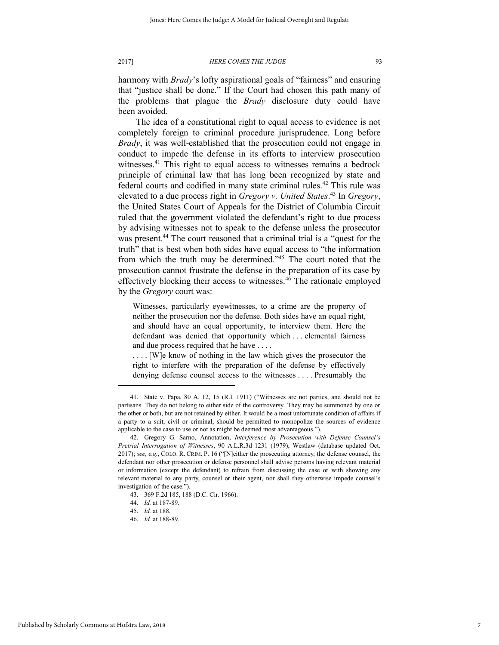harmony with *Brady*'s lofty aspirational goals of "fairness" and ensuring that "justice shall be done." If the Court had chosen this path many of the problems that plague the *Brady* disclosure duty could have been avoided.

The idea of a constitutional right to equal access to evidence is not completely foreign to criminal procedure jurisprudence. Long before *Brady*, it was well-established that the prosecution could not engage in conduct to impede the defense in its efforts to interview prosecution witnesses.<sup>41</sup> This right to equal access to witnesses remains a bedrock principle of criminal law that has long been recognized by state and federal courts and codified in many state criminal rules.<sup>42</sup> This rule was elevated to a due process right in *Gregory v. United States*. <sup>43</sup> In *Gregory*, the United States Court of Appeals for the District of Columbia Circuit ruled that the government violated the defendant's right to due process by advising witnesses not to speak to the defense unless the prosecutor was present.<sup>44</sup> The court reasoned that a criminal trial is a "quest for the truth" that is best when both sides have equal access to "the information from which the truth may be determined.<sup>145</sup> The court noted that the prosecution cannot frustrate the defense in the preparation of its case by effectively blocking their access to witnesses.<sup>46</sup> The rationale employed by the *Gregory* court was:

Witnesses, particularly eyewitnesses, to a crime are the property of neither the prosecution nor the defense. Both sides have an equal right, and should have an equal opportunity, to interview them. Here the defendant was denied that opportunity which . . . elemental fairness and due process required that he have . . . .

. . . . [W]e know of nothing in the law which gives the prosecutor the right to interfere with the preparation of the defense by effectively denying defense counsel access to the witnesses . . . . Presumably the

<sup>41.</sup> State v. Papa, 80 A. 12, 15 (R.I. 1911) ("Witnesses are not parties, and should not be partisans. They do not belong to either side of the controversy. They may be summoned by one or the other or both, but are not retained by either. It would be a most unfortunate condition of affairs if a party to a suit, civil or criminal, should be permitted to monopolize the sources of evidence applicable to the case to use or not as might be deemed most advantageous.").

<sup>42.</sup> Gregory G. Sarno, Annotation, *Interference by Prosecution with Defense Counsel's Pretrial Interrogation of Witnesses*, 90 A.L.R.3d 1231 (1979), Westlaw (database updated Oct. 2017); *see, e.g.*, COLO. R. CRIM. P. 16 ("[N]either the prosecuting attorney, the defense counsel, the defendant nor other prosecution or defense personnel shall advise persons having relevant material or information (except the defendant) to refrain from discussing the case or with showing any relevant material to any party, counsel or their agent, nor shall they otherwise impede counsel's investigation of the case.").

<sup>43. 369</sup> F.2d 185, 188 (D.C. Cir. 1966).

<sup>44.</sup> *Id.* at 187-89.

<sup>45.</sup> *Id.* at 188.

<sup>46.</sup> *Id.* at 188-89.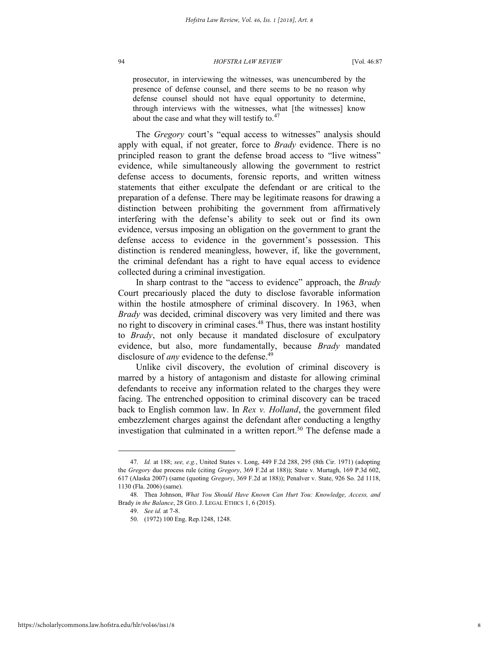prosecutor, in interviewing the witnesses, was unencumbered by the presence of defense counsel, and there seems to be no reason why defense counsel should not have equal opportunity to determine, through interviews with the witnesses, what [the witnesses] know about the case and what they will testify to. $47$ 

The *Gregory* court's "equal access to witnesses" analysis should apply with equal, if not greater, force to *Brady* evidence. There is no principled reason to grant the defense broad access to "live witness" evidence, while simultaneously allowing the government to restrict defense access to documents, forensic reports, and written witness statements that either exculpate the defendant or are critical to the preparation of a defense. There may be legitimate reasons for drawing a distinction between prohibiting the government from affirmatively interfering with the defense's ability to seek out or find its own evidence, versus imposing an obligation on the government to grant the defense access to evidence in the government's possession. This distinction is rendered meaningless, however, if, like the government, the criminal defendant has a right to have equal access to evidence collected during a criminal investigation.

In sharp contrast to the "access to evidence" approach, the *Brady* Court precariously placed the duty to disclose favorable information within the hostile atmosphere of criminal discovery. In 1963, when *Brady* was decided, criminal discovery was very limited and there was no right to discovery in criminal cases.<sup>48</sup> Thus, there was instant hostility to *Brady*, not only because it mandated disclosure of exculpatory evidence, but also, more fundamentally, because *Brady* mandated disclosure of *any* evidence to the defense.<sup>49</sup>

Unlike civil discovery, the evolution of criminal discovery is marred by a history of antagonism and distaste for allowing criminal defendants to receive any information related to the charges they were facing. The entrenched opposition to criminal discovery can be traced back to English common law. In *Rex v. Holland*, the government filed embezzlement charges against the defendant after conducting a lengthy investigation that culminated in a written report.<sup>50</sup> The defense made a

<sup>47.</sup> *Id.* at 188; *see, e.g.*, United States v. Long, 449 F.2d 288, 295 (8th Cir. 1971) (adopting the *Gregory* due process rule (citing *Gregory*, 369 F.2d at 188)); State v. Murtagh, 169 P.3d 602, 617 (Alaska 2007) (same (quoting *Gregory*, 369 F.2d at 188)); Penalver v. State, 926 So. 2d 1118, 1130 (Fla. 2006) (same).

<sup>48.</sup> Thea Johnson, *What You Should Have Known Can Hurt You: Knowledge, Access, and*  Brady *in the Balance*, 28 GEO. J. LEGAL ETHICS 1, 6 (2015).

<sup>49.</sup> *See id.* at 7-8.

<sup>50.</sup> (1972) 100 Eng. Rep.1248, 1248.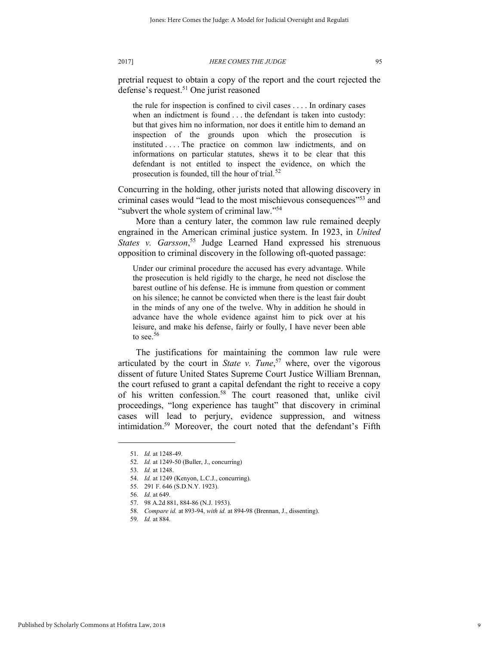pretrial request to obtain a copy of the report and the court rejected the defense's request.<sup>51</sup> One jurist reasoned

the rule for inspection is confined to civil cases . . . . In ordinary cases when an indictment is found . . . the defendant is taken into custody: but that gives him no information, nor does it entitle him to demand an inspection of the grounds upon which the prosecution is instituted . . . . The practice on common law indictments, and on informations on particular statutes, shews it to be clear that this defendant is not entitled to inspect the evidence, on which the prosecution is founded, till the hour of trial.<sup>52</sup>

Concurring in the holding, other jurists noted that allowing discovery in criminal cases would "lead to the most mischievous consequences"<sup>53</sup> and "subvert the whole system of criminal law."<sup>54</sup>

More than a century later, the common law rule remained deeply engrained in the American criminal justice system. In 1923, in *United States v. Garsson*, <sup>55</sup> Judge Learned Hand expressed his strenuous opposition to criminal discovery in the following oft-quoted passage:

Under our criminal procedure the accused has every advantage. While the prosecution is held rigidly to the charge, he need not disclose the barest outline of his defense. He is immune from question or comment on his silence; he cannot be convicted when there is the least fair doubt in the minds of any one of the twelve. Why in addition he should in advance have the whole evidence against him to pick over at his leisure, and make his defense, fairly or foully, I have never been able to see.<sup>56</sup>

The justifications for maintaining the common law rule were articulated by the court in *State v. Tune*, <sup>57</sup> where, over the vigorous dissent of future United States Supreme Court Justice William Brennan, the court refused to grant a capital defendant the right to receive a copy of his written confession.<sup>58</sup> The court reasoned that, unlike civil proceedings, "long experience has taught" that discovery in criminal cases will lead to perjury, evidence suppression, and witness intimidation.<sup>59</sup> Moreover, the court noted that the defendant's Fifth

<sup>51.</sup> *Id.* at 1248-49.

<sup>52.</sup> *Id.* at 1249-50 (Buller, J., concurring)

<sup>53.</sup> *Id.* at 1248.

<sup>54.</sup> *Id.* at 1249 (Kenyon, L.C.J., concurring).

<sup>55.</sup> 291 F. 646 (S.D.N.Y. 1923).

<sup>56.</sup> *Id.* at 649.

<sup>57. 98</sup> A.2d 881, 884-86 (N.J. 1953).

<sup>58.</sup> *Compare id.* at 893-94, *with id.* at 894-98 (Brennan, J., dissenting).

<sup>59.</sup> *Id.* at 884.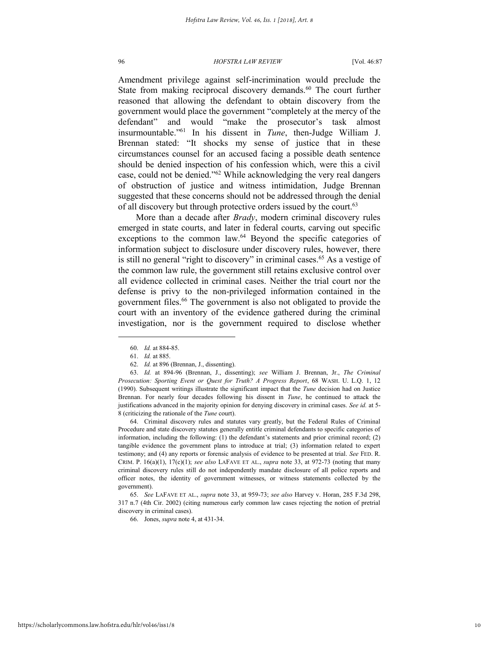Amendment privilege against self-incrimination would preclude the State from making reciprocal discovery demands.<sup>60</sup> The court further reasoned that allowing the defendant to obtain discovery from the government would place the government "completely at the mercy of the defendant" and would "make the prosecutor's task almost insurmountable." <sup>61</sup> In his dissent in *Tune*, then-Judge William J. Brennan stated: "It shocks my sense of justice that in these circumstances counsel for an accused facing a possible death sentence should be denied inspection of his confession which, were this a civil case, could not be denied."<sup>62</sup> While acknowledging the very real dangers of obstruction of justice and witness intimidation, Judge Brennan suggested that these concerns should not be addressed through the denial of all discovery but through protective orders issued by the court.<sup>63</sup>

More than a decade after *Brady*, modern criminal discovery rules emerged in state courts, and later in federal courts, carving out specific exceptions to the common law.<sup>64</sup> Beyond the specific categories of information subject to disclosure under discovery rules, however, there is still no general "right to discovery" in criminal cases.<sup>65</sup> As a vestige of the common law rule, the government still retains exclusive control over all evidence collected in criminal cases. Neither the trial court nor the defense is privy to the non-privileged information contained in the government files.<sup>66</sup> The government is also not obligated to provide the court with an inventory of the evidence gathered during the criminal investigation, nor is the government required to disclose whether

l

64. Criminal discovery rules and statutes vary greatly, but the Federal Rules of Criminal Procedure and state discovery statutes generally entitle criminal defendants to specific categories of information, including the following: (1) the defendant's statements and prior criminal record; (2) tangible evidence the government plans to introduce at trial; (3) information related to expert testimony; and (4) any reports or forensic analysis of evidence to be presented at trial. *See* FED. R. CRIM. P. 16(a)(1), 17(c)(1); *see also* LAFAVE ET AL., *supra* note 33, at 972-73 (noting that many criminal discovery rules still do not independently mandate disclosure of all police reports and officer notes, the identity of government witnesses, or witness statements collected by the government).

65. *See* LAFAVE ET AL., *supra* note 33, at 959-73; *see also* Harvey v. Horan, 285 F.3d 298, 317 n.7 (4th Cir. 2002) (citing numerous early common law cases rejecting the notion of pretrial discovery in criminal cases).

66. Jones, *supra* note 4, at 431-34.

<sup>60.</sup> *Id.* at 884-85.

<sup>61.</sup> *Id.* at 885.

<sup>62.</sup> *Id.* at 896 (Brennan, J., dissenting).

<sup>63.</sup> *Id.* at 894-96 (Brennan, J., dissenting); *see* William J. Brennan, Jr., *The Criminal Prosecution: Sporting Event or Quest for Truth? A Progress Report*, 68 WASH. U. L.Q. 1, 12 (1990). Subsequent writings illustrate the significant impact that the *Tune* decision had on Justice Brennan. For nearly four decades following his dissent in *Tune*, he continued to attack the justifications advanced in the majority opinion for denying discovery in criminal cases. *See id.* at 5- 8 (criticizing the rationale of the *Tune* court).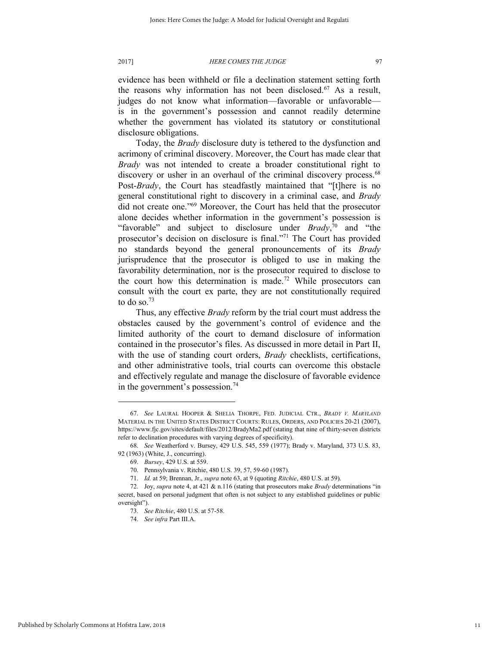evidence has been withheld or file a declination statement setting forth the reasons why information has not been disclosed.<sup>67</sup> As a result, judges do not know what information—favorable or unfavorable is in the government's possession and cannot readily determine whether the government has violated its statutory or constitutional disclosure obligations.

Today, the *Brady* disclosure duty is tethered to the dysfunction and acrimony of criminal discovery. Moreover, the Court has made clear that *Brady* was not intended to create a broader constitutional right to discovery or usher in an overhaul of the criminal discovery process.<sup>68</sup> Post-*Brady*, the Court has steadfastly maintained that "[t]here is no general constitutional right to discovery in a criminal case, and *Brady* did not create one." <sup>69</sup> Moreover, the Court has held that the prosecutor alone decides whether information in the government's possession is "favorable" and subject to disclosure under *Brady*, <sup>70</sup> and "the prosecutor's decision on disclosure is final." <sup>71</sup> The Court has provided no standards beyond the general pronouncements of its *Brady*  jurisprudence that the prosecutor is obliged to use in making the favorability determination, nor is the prosecutor required to disclose to the court how this determination is made.<sup>72</sup> While prosecutors can consult with the court ex parte, they are not constitutionally required to do so. $73$ 

Thus, any effective *Brady* reform by the trial court must address the obstacles caused by the government's control of evidence and the limited authority of the court to demand disclosure of information contained in the prosecutor's files. As discussed in more detail in Part II, with the use of standing court orders, *Brady* checklists, certifications, and other administrative tools, trial courts can overcome this obstacle and effectively regulate and manage the disclosure of favorable evidence in the government's possession.<sup>74</sup>

<sup>67.</sup> *See* LAURAL HOOPER & SHELIA THORPE, FED. JUDICIAL CTR., *BRADY V. MARYLAND* MATERIAL IN THE UNITED STATES DISTRICT COURTS: RULES, ORDERS, AND POLICIES 20-21 (2007), https://www.fjc.gov/sites/default/files/2012/BradyMa2.pdf (stating that nine of thirty-seven districts refer to declination procedures with varying degrees of specificity).

<sup>68.</sup> *See* Weatherford v. Bursey, 429 U.S. 545, 559 (1977); Brady v. Maryland, 373 U.S. 83, 92 (1963) (White, J., concurring).

<sup>69.</sup> *Bursey*, 429 U.S. at 559.

<sup>70.</sup> Pennsylvania v. Ritchie, 480 U.S. 39, 57, 59-60 (1987).

<sup>71.</sup> *Id.* at 59; Brennan, Jr., *supra* note 63, at 9 (quoting *Ritchie*, 480 U.S. at 59).

<sup>72.</sup> Joy, *supra* note 4, at 421 & n.116 (stating that prosecutors make *Brady* determinations "in secret, based on personal judgment that often is not subject to any established guidelines or public oversight").

<sup>73.</sup> *See Ritchie*, 480 U.S. at 57-58.

<sup>74.</sup> *See infra* Part III.A.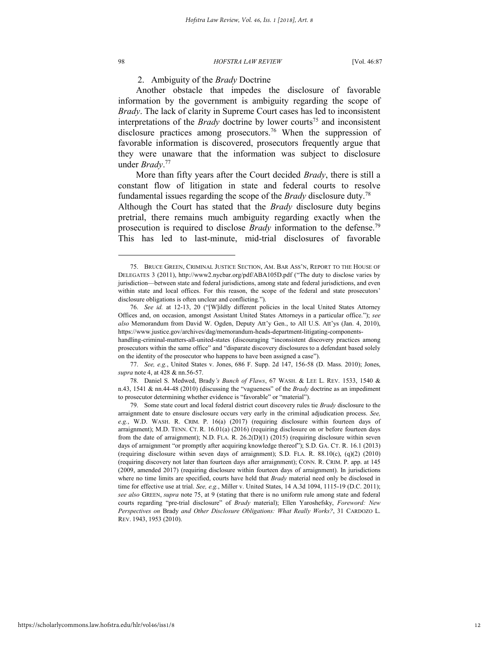### 2. Ambiguity of the *Brady* Doctrine

Another obstacle that impedes the disclosure of favorable information by the government is ambiguity regarding the scope of *Brady*. The lack of clarity in Supreme Court cases has led to inconsistent interpretations of the *Brady* doctrine by lower courts<sup>75</sup> and inconsistent disclosure practices among prosecutors.<sup>76</sup> When the suppression of favorable information is discovered, prosecutors frequently argue that they were unaware that the information was subject to disclosure under *Brady*. 77

More than fifty years after the Court decided *Brady*, there is still a constant flow of litigation in state and federal courts to resolve fundamental issues regarding the scope of the *Brady* disclosure duty.<sup>78</sup> Although the Court has stated that the *Brady* disclosure duty begins pretrial, there remains much ambiguity regarding exactly when the prosecution is required to disclose *Brady* information to the defense.<sup>79</sup> This has led to last-minute, mid-trial disclosures of favorable

handling-criminal-matters-all-united-states (discouraging "inconsistent discovery practices among prosecutors within the same office" and "disparate discovery disclosures to a defendant based solely on the identity of the prosecutor who happens to have been assigned a case").

78. Daniel S. Medwed, Brady*'s Bunch of Flaws*, 67 WASH. & LEE L. REV. 1533, 1540 & n.43, 1541 & nn.44-48 (2010) (discussing the "vagueness" of the *Brady* doctrine as an impediment to prosecutor determining whether evidence is "favorable" or "material").

https://scholarlycommons.law.hofstra.edu/hlr/vol46/iss1/8

<sup>75.</sup> BRUCE GREEN, CRIMINAL JUSTICE SECTION, AM. BAR ASS'N, REPORT TO THE HOUSE OF DELEGATES 3 (2011), http://www2.nycbar.org/pdf/ABA105D.pdf ("The duty to disclose varies by jurisdiction—between state and federal jurisdictions, among state and federal jurisdictions, and even within state and local offices. For this reason, the scope of the federal and state prosecutors' disclosure obligations is often unclear and conflicting.").

<sup>76.</sup> *See id.* at 12-13, 20 ("[W]ildly different policies in the local United States Attorney Offices and, on occasion, amongst Assistant United States Attorneys in a particular office."); *see also* Memorandum from David W. Ogden, Deputy Att'y Gen., to All U.S. Att'ys (Jan. 4, 2010), https://www.justice.gov/archives/dag/memorandum-heads-department-litigating-components-

<sup>77.</sup> *See, e.g.*, United States v. Jones, 686 F. Supp. 2d 147, 156-58 (D. Mass. 2010); Jones, *supra* note 4, at 428 & nn.56-57.

<sup>79.</sup> Some state court and local federal district court discovery rules tie *Brady* disclosure to the arraignment date to ensure disclosure occurs very early in the criminal adjudication process. *See, e.g.*, W.D. WASH. R. CRIM. P. 16(a) (2017) (requiring disclosure within fourteen days of arraignment); M.D. TENN. CT. R. 16.01(a) (2016) (requiring disclosure on or before fourteen days from the date of arraignment); N.D. FLA. R. 26.2(D)(1) (2015) (requiring disclosure within seven days of arraignment "or promptly after acquiring knowledge thereof"); S.D. GA. CT. R. 16.1 (2013) (requiring disclosure within seven days of arraignment); S.D. FLA. R.  $88.10(c)$ ,  $(q)(2)$  (2010) (requiring discovery not later than fourteen days after arraignment); CONN. R. CRIM. P. app. at 145 (2009, amended 2017) (requiring disclosure within fourteen days of arraignment). In jurisdictions where no time limits are specified, courts have held that *Brady* material need only be disclosed in time for effective use at trial. *See, e.g.*, Miller v. United States, 14 A.3d 1094, 1115-19 (D.C. 2011); *see also* GREEN, *supra* note 75, at 9 (stating that there is no uniform rule among state and federal courts regarding "pre-trial disclosure" of *Brady* material); Ellen Yaroshefsky, *Foreword: New Perspectives on* Brady *and Other Disclosure Obligations: What Really Works?*, 31 CARDOZO L. REV. 1943, 1953 (2010).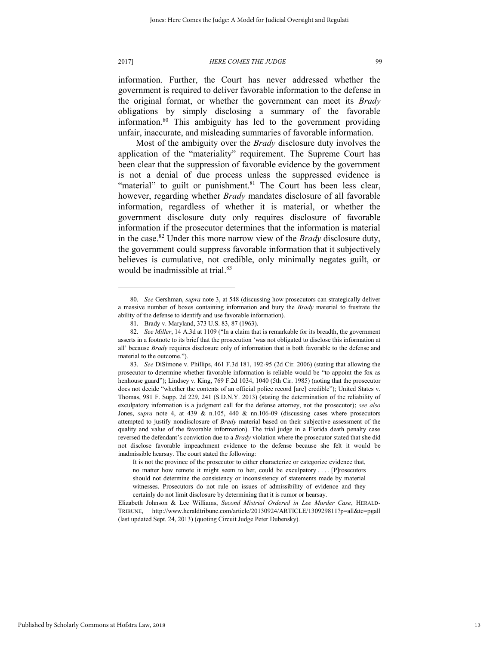l

2017] *HERE COMES THE JUDGE* 99

information. Further, the Court has never addressed whether the government is required to deliver favorable information to the defense in the original format, or whether the government can meet its *Brady* obligations by simply disclosing a summary of the favorable information.<sup>80</sup> This ambiguity has led to the government providing unfair, inaccurate, and misleading summaries of favorable information.

Most of the ambiguity over the *Brady* disclosure duty involves the application of the "materiality" requirement. The Supreme Court has been clear that the suppression of favorable evidence by the government is not a denial of due process unless the suppressed evidence is "material" to guilt or punishment.<sup>81</sup> The Court has been less clear, however, regarding whether *Brady* mandates disclosure of all favorable information, regardless of whether it is material, or whether the government disclosure duty only requires disclosure of favorable information if the prosecutor determines that the information is material in the case.<sup>82</sup> Under this more narrow view of the *Brady* disclosure duty, the government could suppress favorable information that it subjectively believes is cumulative, not credible, only minimally negates guilt, or would be inadmissible at trial.<sup>83</sup>

<sup>80.</sup> *See* Gershman, *supra* note 3, at 548 (discussing how prosecutors can strategically deliver a massive number of boxes containing information and bury the *Brady* material to frustrate the ability of the defense to identify and use favorable information).

<sup>81.</sup> Brady v. Maryland, 373 U.S. 83, 87 (1963).

<sup>82.</sup> *See Miller*, 14 A.3d at 1109 ("In a claim that is remarkable for its breadth, the government asserts in a footnote to its brief that the prosecution 'was not obligated to disclose this information at all' because *Brady* requires disclosure only of information that is both favorable to the defense and material to the outcome.").

<sup>83.</sup> *See* DiSimone v. Phillips, 461 F.3d 181, 192-95 (2d Cir. 2006) (stating that allowing the prosecutor to determine whether favorable information is reliable would be "to appoint the fox as henhouse guard"); Lindsey v. King, 769 F.2d 1034, 1040 (5th Cir. 1985) (noting that the prosecutor does not decide "whether the contents of an official police record [are] credible"); United States v. Thomas, 981 F. Supp. 2d 229, 241 (S.D.N.Y. 2013) (stating the determination of the reliability of exculpatory information is a judgment call for the defense attorney, not the prosecutor); *see also* Jones, *supra* note 4, at 439 & n.105, 440 & nn.106-09 (discussing cases where prosecutors attempted to justify nondisclosure of *Brady* material based on their subjective assessment of the quality and value of the favorable information). The trial judge in a Florida death penalty case reversed the defendant's conviction due to a *Brady* violation where the prosecutor stated that she did not disclose favorable impeachment evidence to the defense because she felt it would be inadmissible hearsay. The court stated the following:

It is not the province of the prosecutor to either characterize or categorize evidence that, no matter how remote it might seem to her, could be exculpatory . . . . [P]rosecutors should not determine the consistency or inconsistency of statements made by material witnesses. Prosecutors do not rule on issues of admissibility of evidence and they certainly do not limit disclosure by determining that it is rumor or hearsay.

Elizabeth Johnson & Lee Williams, *Second Mistrial Ordered in Lee Murder Case*, HERALD-TRIBUNE, http://www.heraldtribune.com/article/20130924/ARTICLE/130929811?p=all&tc=pgall (last updated Sept. 24, 2013) (quoting Circuit Judge Peter Dubensky).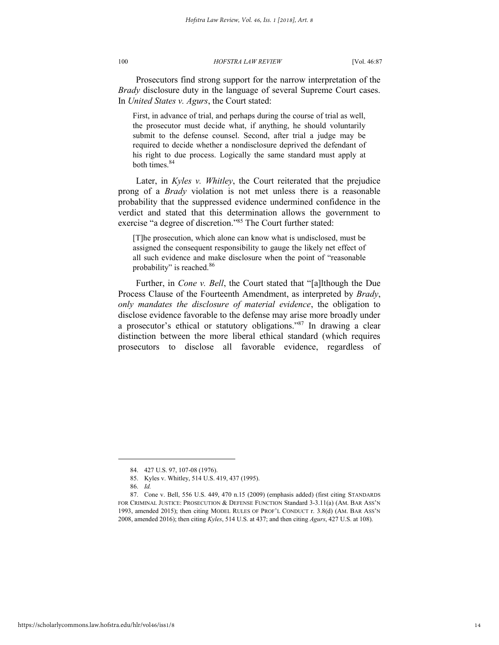Prosecutors find strong support for the narrow interpretation of the *Brady* disclosure duty in the language of several Supreme Court cases. In *United States v. Agurs*, the Court stated:

First, in advance of trial, and perhaps during the course of trial as well, the prosecutor must decide what, if anything, he should voluntarily submit to the defense counsel. Second, after trial a judge may be required to decide whether a nondisclosure deprived the defendant of his right to due process. Logically the same standard must apply at both times.<sup>84</sup>

Later, in *Kyles v. Whitley*, the Court reiterated that the prejudice prong of a *Brady* violation is not met unless there is a reasonable probability that the suppressed evidence undermined confidence in the verdict and stated that this determination allows the government to exercise "a degree of discretion." <sup>85</sup> The Court further stated:

[T]he prosecution, which alone can know what is undisclosed, must be assigned the consequent responsibility to gauge the likely net effect of all such evidence and make disclosure when the point of "reasonable probability" is reached.<sup>86</sup>

Further, in *Cone v. Bell*, the Court stated that "[a]lthough the Due Process Clause of the Fourteenth Amendment, as interpreted by *Brady*, *only mandates the disclosure of material evidence*, the obligation to disclose evidence favorable to the defense may arise more broadly under a prosecutor's ethical or statutory obligations." <sup>87</sup> In drawing a clear distinction between the more liberal ethical standard (which requires prosecutors to disclose all favorable evidence, regardless of

<sup>84. 427</sup> U.S. 97, 107-08 (1976).

<sup>85.</sup> Kyles v. Whitley, 514 U.S. 419, 437 (1995).

<sup>86.</sup> *Id.*

<sup>87.</sup> Cone v. Bell, 556 U.S. 449, 470 n.15 (2009) (emphasis added) (first citing STANDARDS FOR CRIMINAL JUSTICE: PROSECUTION & DEFENSE FUNCTION Standard 3-3.11(a) (AM. BAR ASS'N 1993, amended 2015); then citing MODEL RULES OF PROF'L CONDUCT r. 3.8(d) (AM. BAR ASS'N 2008, amended 2016); then citing *Kyles*, 514 U.S. at 437; and then citing *Agurs*, 427 U.S. at 108).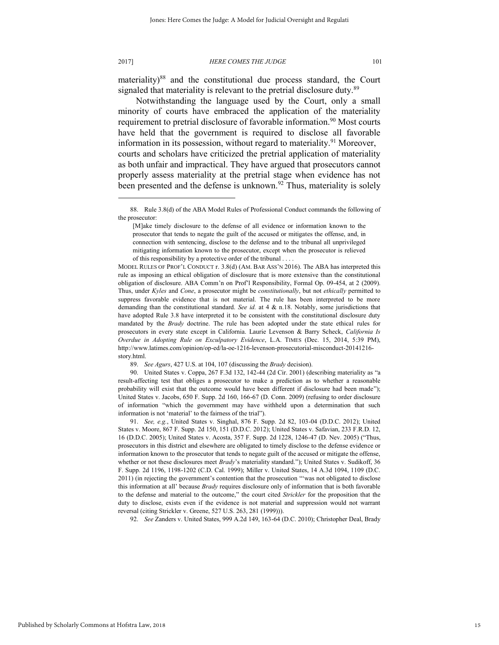l

#### 2017] *HERE COMES THE JUDGE* 101

materiality)<sup>88</sup> and the constitutional due process standard, the Court signaled that materiality is relevant to the pretrial disclosure duty.<sup>89</sup>

Notwithstanding the language used by the Court, only a small minority of courts have embraced the application of the materiality requirement to pretrial disclosure of favorable information.<sup>90</sup> Most courts have held that the government is required to disclose all favorable information in its possession, without regard to materiality.<sup>91</sup> Moreover, courts and scholars have criticized the pretrial application of materiality as both unfair and impractical. They have argued that prosecutors cannot properly assess materiality at the pretrial stage when evidence has not been presented and the defense is unknown.<sup>92</sup> Thus, materiality is solely

89. *See Agurs*, 427 U.S. at 104, 107 (discussing the *Brady* decision).

90. United States v. Coppa, 267 F.3d 132, 142-44 (2d Cir. 2001) (describing materiality as "a result-affecting test that obliges a prosecutor to make a prediction as to whether a reasonable probability will exist that the outcome would have been different if disclosure had been made"); United States v. Jacobs, 650 F. Supp. 2d 160, 166-67 (D. Conn. 2009) (refusing to order disclosure of information "which the government may have withheld upon a determination that such information is not 'material' to the fairness of the trial").

92. *See* Zanders v. United States, 999 A.2d 149, 163-64 (D.C. 2010); Christopher Deal, Brady

<sup>88.</sup> Rule 3.8(d) of the ABA Model Rules of Professional Conduct commands the following of the prosecutor:

<sup>[</sup>M]ake timely disclosure to the defense of all evidence or information known to the prosecutor that tends to negate the guilt of the accused or mitigates the offense, and, in connection with sentencing, disclose to the defense and to the tribunal all unprivileged mitigating information known to the prosecutor, except when the prosecutor is relieved of this responsibility by a protective order of the tribunal . . . .

MODEL RULES OF PROF'L CONDUCT r. 3.8(d) (AM. BAR ASS'N 2016). The ABA has interpreted this rule as imposing an ethical obligation of disclosure that is more extensive than the constitutional obligation of disclosure. ABA Comm'n on Prof'l Responsibility, Formal Op. 09-454, at 2 (2009). Thus, under *Kyles* and *Cone*, a prosecutor might be *constitutionally*, but not *ethically* permitted to suppress favorable evidence that is not material. The rule has been interpreted to be more demanding than the constitutional standard. *See id.* at 4 & n.18. Notably, some jurisdictions that have adopted Rule 3.8 have interpreted it to be consistent with the constitutional disclosure duty mandated by the *Brady* doctrine. The rule has been adopted under the state ethical rules for prosecutors in every state except in California. Laurie Levenson & Barry Scheck, *California Is Overdue in Adopting Rule on Exculpatory Evidence*, L.A. TIMES (Dec. 15, 2014, 5:39 PM), http://www.latimes.com/opinion/op-ed/la-oe-1216-levenson-prosecutorial-misconduct-20141216 story.html.

<sup>91.</sup> *See, e.g.*, United States v. Singhal, 876 F. Supp. 2d 82, 103-04 (D.D.C. 2012); United States v. Moore, 867 F. Supp. 2d 150, 151 (D.D.C. 2012); United States v. Safavian, 233 F.R.D. 12, 16 (D.D.C. 2005); United States v. Acosta, 357 F. Supp. 2d 1228, 1246-47 (D. Nev. 2005) ("Thus, prosecutors in this district and elsewhere are obligated to timely disclose to the defense evidence or information known to the prosecutor that tends to negate guilt of the accused or mitigate the offense, whether or not these disclosures meet *Brady*'s materiality standard."); United States v. Sudikoff, 36 F. Supp. 2d 1196, 1198-1202 (C.D. Cal. 1999); Miller v. United States, 14 A.3d 1094, 1109 (D.C. 2011) (in rejecting the government's contention that the prosecution "'was not obligated to disclose this information at all' because *Brady* requires disclosure only of information that is both favorable to the defense and material to the outcome," the court cited *Strickler* for the proposition that the duty to disclose, exists even if the evidence is not material and suppression would not warrant reversal (citing Strickler v. Greene, 527 U.S. 263, 281 (1999))).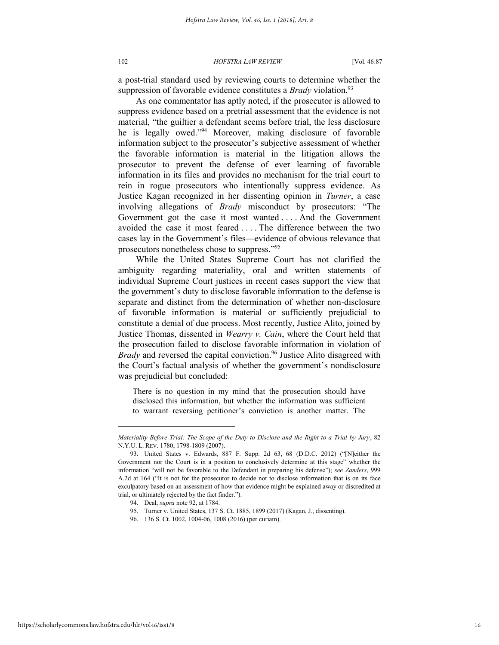a post-trial standard used by reviewing courts to determine whether the suppression of favorable evidence constitutes a *Brady* violation.<sup>93</sup>

 As one commentator has aptly noted, if the prosecutor is allowed to suppress evidence based on a pretrial assessment that the evidence is not material, "the guiltier a defendant seems before trial, the less disclosure he is legally owed." <sup>94</sup> Moreover, making disclosure of favorable information subject to the prosecutor's subjective assessment of whether the favorable information is material in the litigation allows the prosecutor to prevent the defense of ever learning of favorable information in its files and provides no mechanism for the trial court to rein in rogue prosecutors who intentionally suppress evidence. As Justice Kagan recognized in her dissenting opinion in *Turner*, a case involving allegations of *Brady* misconduct by prosecutors: "The Government got the case it most wanted . . . . And the Government avoided the case it most feared . . . . The difference between the two cases lay in the Government's files—evidence of obvious relevance that prosecutors nonetheless chose to suppress." 95

While the United States Supreme Court has not clarified the ambiguity regarding materiality, oral and written statements of individual Supreme Court justices in recent cases support the view that the government's duty to disclose favorable information to the defense is separate and distinct from the determination of whether non-disclosure of favorable information is material or sufficiently prejudicial to constitute a denial of due process. Most recently, Justice Alito, joined by Justice Thomas, dissented in *Wearry v. Cain*, where the Court held that the prosecution failed to disclose favorable information in violation of *Brady* and reversed the capital conviction.<sup>96</sup> Justice Alito disagreed with the Court's factual analysis of whether the government's nondisclosure was prejudicial but concluded:

There is no question in my mind that the prosecution should have disclosed this information, but whether the information was sufficient to warrant reversing petitioner's conviction is another matter. The

95. Turner v. United States, 137 S. Ct. 1885, 1899 (2017) (Kagan, J., dissenting).

*Materiality Before Trial: The Scope of the Duty to Disclose and the Right to a Trial by Jury*, 82 N.Y.U. L. REV. 1780, 1798-1809 (2007).

<sup>93.</sup> United States v. Edwards, 887 F. Supp. 2d 63, 68 (D.D.C. 2012) ("[N]either the Government nor the Court is in a position to conclusively determine at this stage" whether the information "will not be favorable to the Defendant in preparing his defense"); *see Zanders*, 999 A.2d at 164 ("It is not for the prosecutor to decide not to disclose information that is on its face exculpatory based on an assessment of how that evidence might be explained away or discredited at trial, or ultimately rejected by the fact finder.").

<sup>94.</sup> Deal, *supra* note 92, at 1784.

<sup>96.</sup> 136 S. Ct. 1002, 1004-06, 1008 (2016) (per curiam).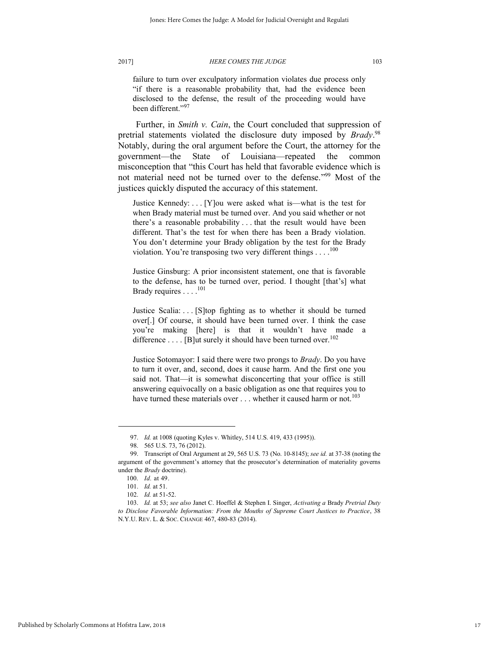failure to turn over exculpatory information violates due process only "if there is a reasonable probability that, had the evidence been disclosed to the defense, the result of the proceeding would have been different." 97

Further, in *Smith v. Cain*, the Court concluded that suppression of pretrial statements violated the disclosure duty imposed by *Brady*. 98 Notably, during the oral argument before the Court, the attorney for the government—the State of Louisiana—repeated the common misconception that "this Court has held that favorable evidence which is not material need not be turned over to the defense." <sup>99</sup> Most of the justices quickly disputed the accuracy of this statement.

Justice Kennedy: . . . [Y]ou were asked what is—what is the test for when Brady material must be turned over. And you said whether or not there's a reasonable probability . . . that the result would have been different. That's the test for when there has been a Brady violation. You don't determine your Brady obligation by the test for the Brady violation. You're transposing two very different things  $\dots$ .<sup>100</sup>

Justice Ginsburg: A prior inconsistent statement, one that is favorable to the defense, has to be turned over, period. I thought [that's] what Brady requires . . . .<sup>101</sup>

Justice Scalia: . . . [S]top fighting as to whether it should be turned over[.] Of course, it should have been turned over. I think the case you're making [here] is that it wouldn't have made a difference . . . . [B]ut surely it should have been turned over.<sup>102</sup>

Justice Sotomayor: I said there were two prongs to *Brady*. Do you have to turn it over, and, second, does it cause harm. And the first one you said not. That—it is somewhat disconcerting that your office is still answering equivocally on a basic obligation as one that requires you to have turned these materials over  $\dots$  whether it caused harm or not.<sup>103</sup>

<sup>97.</sup> *Id.* at 1008 (quoting Kyles v. Whitley, 514 U.S. 419, 433 (1995)).

<sup>98.</sup> 565 U.S. 73, 76 (2012).

<sup>99.</sup> Transcript of Oral Argument at 29, 565 U.S. 73 (No. 10-8145); *see id.* at 37-38 (noting the argument of the government's attorney that the prosecutor's determination of materiality governs under the *Brady* doctrine).

<sup>100.</sup> *Id.* at 49.

<sup>101.</sup> *Id.* at 51.

<sup>102.</sup> *Id.* at 51-52.

<sup>103.</sup> *Id.* at 53; *see also* Janet C. Hoeffel & Stephen I. Singer, *Activating a* Brady *Pretrial Duty to Disclose Favorable Information: From the Mouths of Supreme Court Justices to Practice*, 38 N.Y.U. REV. L. & SOC. CHANGE 467, 480-83 (2014).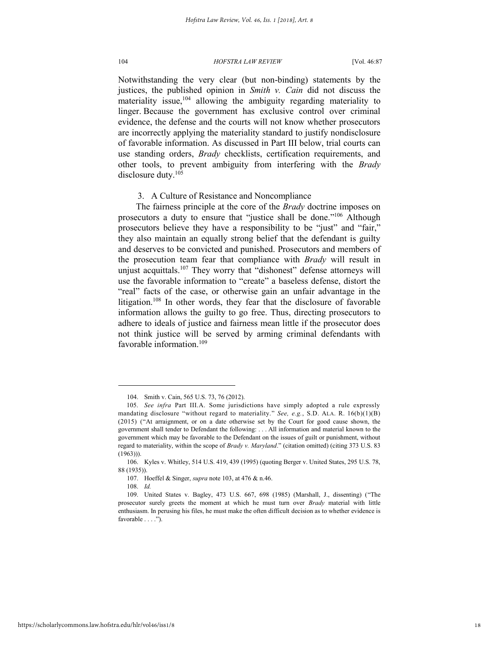Notwithstanding the very clear (but non-binding) statements by the justices, the published opinion in *Smith v. Cain* did not discuss the materiality issue,  $104$  allowing the ambiguity regarding materiality to linger. Because the government has exclusive control over criminal evidence, the defense and the courts will not know whether prosecutors are incorrectly applying the materiality standard to justify nondisclosure of favorable information. As discussed in Part III below, trial courts can use standing orders, *Brady* checklists, certification requirements, and other tools, to prevent ambiguity from interfering with the *Brady* disclosure duty.<sup>105</sup>

#### 3. A Culture of Resistance and Noncompliance

The fairness principle at the core of the *Brady* doctrine imposes on prosecutors a duty to ensure that "justice shall be done."<sup>106</sup> Although prosecutors believe they have a responsibility to be "just" and "fair," they also maintain an equally strong belief that the defendant is guilty and deserves to be convicted and punished. Prosecutors and members of the prosecution team fear that compliance with *Brady* will result in unjust acquittals.<sup>107</sup> They worry that "dishonest" defense attorneys will use the favorable information to "create" a baseless defense, distort the "real" facts of the case, or otherwise gain an unfair advantage in the litigation.<sup>108</sup> In other words, they fear that the disclosure of favorable information allows the guilty to go free. Thus, directing prosecutors to adhere to ideals of justice and fairness mean little if the prosecutor does not think justice will be served by arming criminal defendants with favorable information.<sup>109</sup>

<sup>104.</sup> Smith v. Cain, 565 U.S. 73, 76 (2012).

<sup>105.</sup> *See infra* Part III.A. Some jurisdictions have simply adopted a rule expressly mandating disclosure "without regard to materiality." *See, e.g.*, S.D. ALA. R. 16(b)(1)(B) (2015) ("At arraignment, or on a date otherwise set by the Court for good cause shown, the government shall tender to Defendant the following: . . . All information and material known to the government which may be favorable to the Defendant on the issues of guilt or punishment, without regard to materiality, within the scope of *Brady v. Maryland*." (citation omitted) (citing 373 U.S. 83  $(1963)$ ).

<sup>106.</sup> Kyles v. Whitley, 514 U.S. 419, 439 (1995) (quoting Berger v. United States, 295 U.S. 78, 88 (1935)).

<sup>107.</sup> Hoeffel & Singer, *supra* note 103, at 476 & n.46.

<sup>108.</sup> *Id.*

<sup>109.</sup> United States v. Bagley, 473 U.S. 667, 698 (1985) (Marshall, J., dissenting) ("The prosecutor surely greets the moment at which he must turn over *Brady* material with little enthusiasm. In perusing his files, he must make the often difficult decision as to whether evidence is favorable . . . .").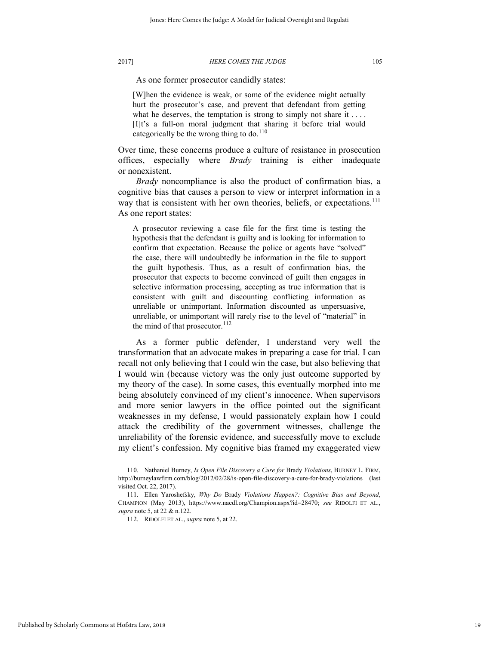As one former prosecutor candidly states:

[W]hen the evidence is weak, or some of the evidence might actually hurt the prosecutor's case, and prevent that defendant from getting what he deserves, the temptation is strong to simply not share it .... [I]t's a full-on moral judgment that sharing it before trial would categorically be the wrong thing to do.<sup>110</sup>

Over time, these concerns produce a culture of resistance in prosecution offices, especially where *Brady* training is either inadequate or nonexistent.

*Brady* noncompliance is also the product of confirmation bias, a cognitive bias that causes a person to view or interpret information in a way that is consistent with her own theories, beliefs, or expectations.<sup>111</sup> As one report states:

A prosecutor reviewing a case file for the first time is testing the hypothesis that the defendant is guilty and is looking for information to confirm that expectation. Because the police or agents have "solved" the case, there will undoubtedly be information in the file to support the guilt hypothesis. Thus, as a result of confirmation bias, the prosecutor that expects to become convinced of guilt then engages in selective information processing, accepting as true information that is consistent with guilt and discounting conflicting information as unreliable or unimportant. Information discounted as unpersuasive, unreliable, or unimportant will rarely rise to the level of "material" in the mind of that prosecutor.<sup>112</sup>

As a former public defender, I understand very well the transformation that an advocate makes in preparing a case for trial. I can recall not only believing that I could win the case, but also believing that I would win (because victory was the only just outcome supported by my theory of the case). In some cases, this eventually morphed into me being absolutely convinced of my client's innocence. When supervisors and more senior lawyers in the office pointed out the significant weaknesses in my defense, I would passionately explain how I could attack the credibility of the government witnesses, challenge the unreliability of the forensic evidence, and successfully move to exclude my client's confession. My cognitive bias framed my exaggerated view

<sup>110.</sup> Nathaniel Burney, *Is Open File Discovery a Cure for* Brady *Violations*, BURNEY L. FIRM, http://burneylawfirm.com/blog/2012/02/28/is-open-file-discovery-a-cure-for-brady-violations (last visited Oct. 22, 2017).

<sup>111.</sup> Ellen Yaroshefsky, *Why Do* Brady *Violations Happen?: Cognitive Bias and Beyond*, CHAMPION (May 2013), https://www.nacdl.org/Champion.aspx?id=28470; *see* RIDOLFI ET AL., *supra* note 5, at 22 & n.122.

<sup>112.</sup> RIDOLFI ET AL., *supra* note 5, at 22.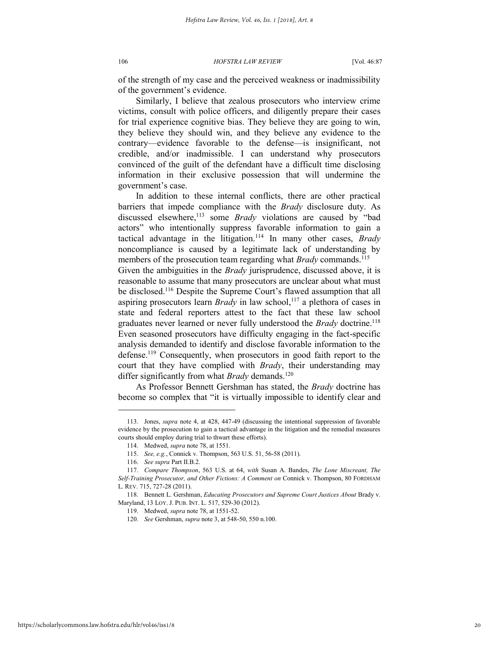of the strength of my case and the perceived weakness or inadmissibility of the government's evidence.

Similarly, I believe that zealous prosecutors who interview crime victims, consult with police officers, and diligently prepare their cases for trial experience cognitive bias. They believe they are going to win, they believe they should win, and they believe any evidence to the contrary—evidence favorable to the defense—is insignificant, not credible, and/or inadmissible. I can understand why prosecutors convinced of the guilt of the defendant have a difficult time disclosing information in their exclusive possession that will undermine the government's case.

In addition to these internal conflicts, there are other practical barriers that impede compliance with the *Brady* disclosure duty. As discussed elsewhere,<sup>113</sup> some *Brady* violations are caused by "bad actors" who intentionally suppress favorable information to gain a tactical advantage in the litigation.<sup>114</sup> In many other cases, *Brady* noncompliance is caused by a legitimate lack of understanding by members of the prosecution team regarding what *Brady* commands.<sup>115</sup>

Given the ambiguities in the *Brady* jurisprudence, discussed above, it is reasonable to assume that many prosecutors are unclear about what must be disclosed.<sup>116</sup> Despite the Supreme Court's flawed assumption that all aspiring prosecutors learn *Brady* in law school,<sup>117</sup> a plethora of cases in state and federal reporters attest to the fact that these law school graduates never learned or never fully understood the *Brady* doctrine.<sup>118</sup> Even seasoned prosecutors have difficulty engaging in the fact-specific analysis demanded to identify and disclose favorable information to the defense.<sup>119</sup> Consequently, when prosecutors in good faith report to the court that they have complied with *Brady*, their understanding may differ significantly from what *Brady* demands.<sup>120</sup>

As Professor Bennett Gershman has stated, the *Brady* doctrine has become so complex that "it is virtually impossible to identify clear and

<sup>113.</sup> Jones, *supra* note 4, at 428, 447-49 (discussing the intentional suppression of favorable evidence by the prosecution to gain a tactical advantage in the litigation and the remedial measures courts should employ during trial to thwart these efforts).

<sup>114.</sup> Medwed, *supra* note 78, at 1551.

<sup>115.</sup> *See, e.g.*, Connick v. Thompson, 563 U.S. 51, 56-58 (2011).

<sup>116.</sup> *See supra* Part II.B.2.

<sup>117.</sup> *Compare Thompson*, 563 U.S. at 64, *with* Susan A. Bandes, *The Lone Miscreant, The Self-Training Prosecutor, and Other Fictions: A Comment on* Connick v. Thompson, 80 FORDHAM L. REV. 715, 727-28 (2011).

<sup>118.</sup> Bennett L. Gershman, *Educating Prosecutors and Supreme Court Justices About* Brady v. Maryland, 13 LOY. J. PUB. INT. L. 517, 529-30 (2012).

<sup>119.</sup> Medwed, *supra* note 78, at 1551-52.

<sup>120.</sup> *See* Gershman, *supra* note 3, at 548-50, 550 n.100.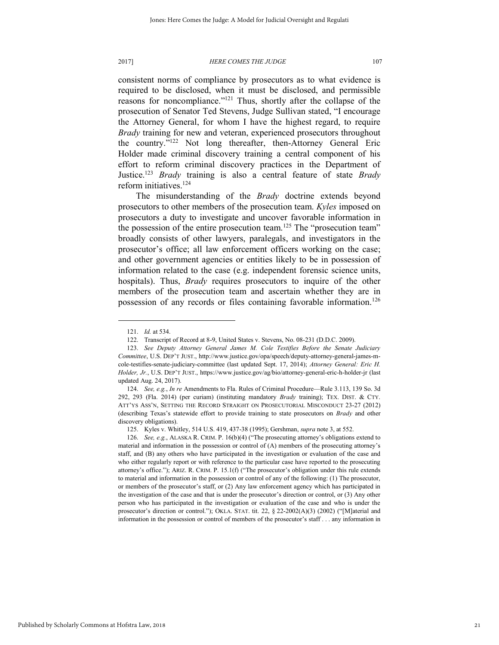consistent norms of compliance by prosecutors as to what evidence is required to be disclosed, when it must be disclosed, and permissible reasons for noncompliance."<sup>121</sup> Thus, shortly after the collapse of the prosecution of Senator Ted Stevens, Judge Sullivan stated, "I encourage the Attorney General, for whom I have the highest regard, to require *Brady* training for new and veteran, experienced prosecutors throughout the country." <sup>122</sup> Not long thereafter, then-Attorney General Eric Holder made criminal discovery training a central component of his effort to reform criminal discovery practices in the Department of Justice.<sup>123</sup> *Brady* training is also a central feature of state *Brady* reform initiatives.<sup>124</sup>

The misunderstanding of the *Brady* doctrine extends beyond prosecutors to other members of the prosecution team. *Kyles* imposed on prosecutors a duty to investigate and uncover favorable information in the possession of the entire prosecution team.<sup>125</sup> The "prosecution team" broadly consists of other lawyers, paralegals, and investigators in the prosecutor's office; all law enforcement officers working on the case; and other government agencies or entities likely to be in possession of information related to the case (e.g. independent forensic science units, hospitals). Thus, *Brady* requires prosecutors to inquire of the other members of the prosecution team and ascertain whether they are in possession of any records or files containing favorable information.<sup>126</sup>

<sup>121.</sup> *Id.* at 534.

<sup>122.</sup> Transcript of Record at 8-9, United States v. Stevens, No. 08-231 (D.D.C. 2009).

<sup>123.</sup> *See Deputy Attorney General James M. Cole Testifies Before the Senate Judiciary Committee*, U.S. DEP'T JUST., http://www.justice.gov/opa/speech/deputy-attorney-general-james-mcole-testifies-senate-judiciary-committee (last updated Sept. 17, 2014); *Attorney General: Eric H. Holder, Jr.*, U.S. DEP'T JUST., https://www.justice.gov/ag/bio/attorney-general-eric-h-holder-jr (last updated Aug. 24, 2017).

<sup>124.</sup> *See, e.g.*, *In re* Amendments to Fla. Rules of Criminal Procedure—Rule 3.113, 139 So. 3d 292, 293 (Fla. 2014) (per curiam) (instituting mandatory *Brady* training); TEX. DIST. & CTY. ATT'YS ASS'N, SETTING THE RECORD STRAIGHT ON PROSECUTORIAL MISCONDUCT 23-27 (2012) (describing Texas's statewide effort to provide training to state prosecutors on *Brady* and other discovery obligations).

<sup>125.</sup> Kyles v. Whitley, 514 U.S. 419, 437-38 (1995); Gershman, *supra* note 3, at 552.

<sup>126.</sup> *See, e.g.*, ALASKA R. CRIM. P. 16(b)(4) ("The prosecuting attorney's obligations extend to material and information in the possession or control of (A) members of the prosecuting attorney's staff, and (B) any others who have participated in the investigation or evaluation of the case and who either regularly report or with reference to the particular case have reported to the prosecuting attorney's office."); ARIZ. R. CRIM. P. 15.1(f) ("The prosecutor's obligation under this rule extends to material and information in the possession or control of any of the following: (1) The prosecutor, or members of the prosecutor's staff, or (2) Any law enforcement agency which has participated in the investigation of the case and that is under the prosecutor's direction or control, or (3) Any other person who has participated in the investigation or evaluation of the case and who is under the prosecutor's direction or control."); OKLA. STAT. tit. 22, § 22-2002(A)(3) (2002) ("[M]aterial and information in the possession or control of members of the prosecutor's staff . . . any information in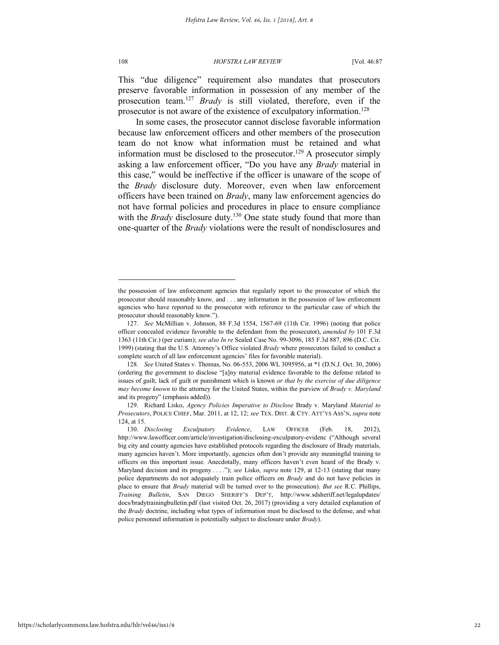l

108 *HOFSTRA LAW REVIEW* [Vol. 46:87

This "due diligence" requirement also mandates that prosecutors preserve favorable information in possession of any member of the prosecution team.<sup>127</sup> *Brady* is still violated, therefore, even if the prosecutor is not aware of the existence of exculpatory information.<sup>128</sup>

In some cases, the prosecutor cannot disclose favorable information because law enforcement officers and other members of the prosecution team do not know what information must be retained and what information must be disclosed to the prosecutor.<sup>129</sup> A prosecutor simply asking a law enforcement officer, "Do you have any *Brady* material in this case," would be ineffective if the officer is unaware of the scope of the *Brady* disclosure duty. Moreover, even when law enforcement officers have been trained on *Brady*, many law enforcement agencies do not have formal policies and procedures in place to ensure compliance with the *Brady* disclosure duty.<sup>130</sup> One state study found that more than one-quarter of the *Brady* violations were the result of nondisclosures and

the possession of law enforcement agencies that regularly report to the prosecutor of which the prosecutor should reasonably know, and . . . any information in the possession of law enforcement agencies who have reported to the prosecutor with reference to the particular case of which the prosecutor should reasonably know.").

<sup>127.</sup> *See* McMillian v. Johnson, 88 F.3d 1554, 1567-69 (11th Cir. 1996) (noting that police officer concealed evidence favorable to the defendant from the prosecutor), *amended by* 101 F.3d 1363 (11th Cir.) (per curiam); *see also In re* Sealed Case No. 99-3096, 185 F.3d 887, 896 (D.C. Cir. 1999) (stating that the U.S. Attorney's Office violated *Brady* where prosecutors failed to conduct a complete search of all law enforcement agencies' files for favorable material).

<sup>128.</sup> *See* United States v. Thomas, No. 06-553, 2006 WL 3095956, at \*1 (D.N.J. Oct. 30, 2006) (ordering the government to disclose "[a]ny material evidence favorable to the defense related to issues of guilt, lack of guilt or punishment which is known *or that by the exercise of due diligence may become known* to the attorney for the United States, within the purview of *Brady v. Maryland*  and its progeny" (emphasis added)).

<sup>129.</sup> Richard Lisko, *Agency Policies Imperative to Disclose* Brady v. Maryland *Material to Prosecutors*, POLICE CHIEF, Mar. 2011, at 12, 12; *see* TEX. DIST. & CTY. ATT'YS ASS'N, *supra* note 124, at 15.

<sup>130.</sup> *Disclosing Exculpatory Evidence*, LAW OFFICER (Feb. 18, 2012), http://www.lawofficer.com/article/investigation/disclosing-exculpatory-evidenc ("Although several big city and county agencies have established protocols regarding the disclosure of Brady materials, many agencies haven't. More importantly, agencies often don't provide any meaningful training to officers on this important issue. Anecdotally, many officers haven't even heard of the Brady v. Maryland decision and its progeny . . . ."); *see* Lisko, *supra* note 129, at 12-13 (stating that many police departments do not adequately train police officers on *Brady* and do not have policies in place to ensure that *Brady* material will be turned over to the prosecution). *But see* R.C. Phillips, *Training Bulletin*, SAN DIEGO SHERIFF'S DEP'T, http://www.sdsheriff.net/legalupdates/ docs/bradytrainingbulletin.pdf (last visited Oct. 26, 2017) (providing a very detailed explanation of the *Brady* doctrine, including what types of information must be disclosed to the defense, and what police personnel information is potentially subject to disclosure under *Brady*).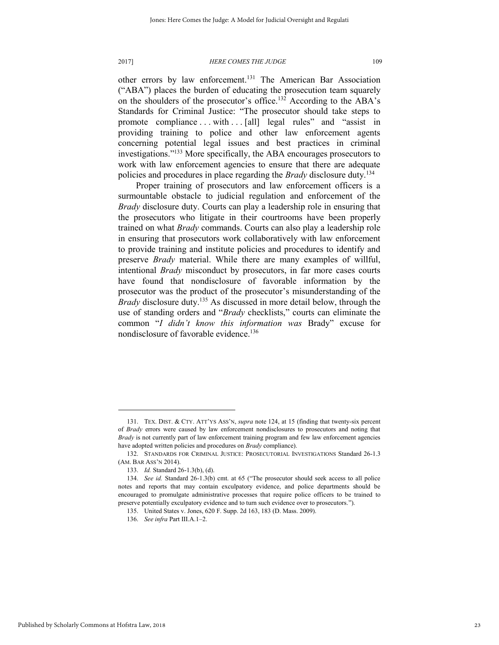other errors by law enforcement.<sup>131</sup> The American Bar Association ("ABA") places the burden of educating the prosecution team squarely on the shoulders of the prosecutor's office.<sup>132</sup> According to the ABA's Standards for Criminal Justice: "The prosecutor should take steps to promote compliance . . . with . . . [all] legal rules" and "assist in providing training to police and other law enforcement agents concerning potential legal issues and best practices in criminal investigations." <sup>133</sup> More specifically, the ABA encourages prosecutors to work with law enforcement agencies to ensure that there are adequate policies and procedures in place regarding the *Brady* disclosure duty.<sup>134</sup>

Proper training of prosecutors and law enforcement officers is a surmountable obstacle to judicial regulation and enforcement of the *Brady* disclosure duty. Courts can play a leadership role in ensuring that the prosecutors who litigate in their courtrooms have been properly trained on what *Brady* commands. Courts can also play a leadership role in ensuring that prosecutors work collaboratively with law enforcement to provide training and institute policies and procedures to identify and preserve *Brady* material. While there are many examples of willful, intentional *Brady* misconduct by prosecutors, in far more cases courts have found that nondisclosure of favorable information by the prosecutor was the product of the prosecutor's misunderstanding of the *Brady* disclosure duty.<sup>135</sup> As discussed in more detail below, through the use of standing orders and "*Brady* checklists," courts can eliminate the common "*I didn't know this information was* Brady" excuse for nondisclosure of favorable evidence.<sup>136</sup>

<sup>131.</sup> TEX. DIST. & CTY. ATT'YS ASS'N, *supra* note 124, at 15 (finding that twenty-six percent of *Brady* errors were caused by law enforcement nondisclosures to prosecutors and noting that *Brady* is not currently part of law enforcement training program and few law enforcement agencies have adopted written policies and procedures on *Brady* compliance).

<sup>132.</sup> STANDARDS FOR CRIMINAL JUSTICE: PROSECUTORIAL INVESTIGATIONS Standard 26-1.3 (AM. BAR ASS'N 2014).

<sup>133.</sup> *Id.* Standard 26-1.3(b), (d).

<sup>134.</sup> *See id.* Standard 26-1.3(b) cmt. at 65 ("The prosecutor should seek access to all police notes and reports that may contain exculpatory evidence, and police departments should be encouraged to promulgate administrative processes that require police officers to be trained to preserve potentially exculpatory evidence and to turn such evidence over to prosecutors.").

<sup>135.</sup> United States v. Jones, 620 F. Supp. 2d 163, 183 (D. Mass. 2009).

<sup>136.</sup> *See infra* Part III.A.1–2.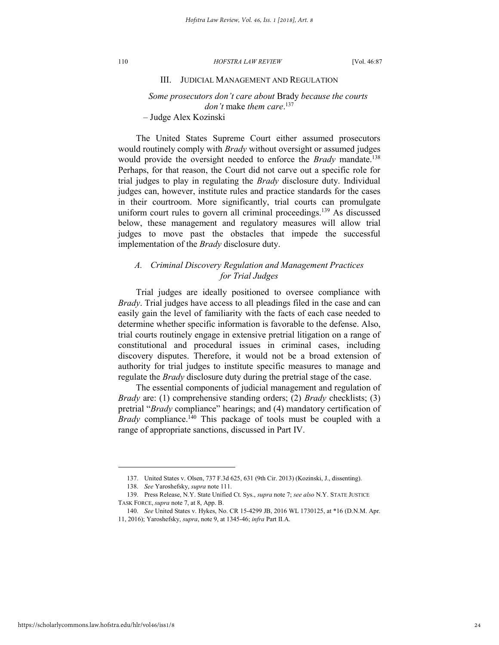#### III. JUDICIAL MANAGEMENT AND REGULATION

# *Some prosecutors don't care about* Brady *because the courts don't* make *them care*. 137

– Judge Alex Kozinski

The United States Supreme Court either assumed prosecutors would routinely comply with *Brady* without oversight or assumed judges would provide the oversight needed to enforce the *Brady* mandate.<sup>138</sup> Perhaps, for that reason, the Court did not carve out a specific role for trial judges to play in regulating the *Brady* disclosure duty. Individual judges can, however, institute rules and practice standards for the cases in their courtroom. More significantly, trial courts can promulgate uniform court rules to govern all criminal proceedings.<sup>139</sup> As discussed below, these management and regulatory measures will allow trial judges to move past the obstacles that impede the successful implementation of the *Brady* disclosure duty.

# *A. Criminal Discovery Regulation and Management Practices for Trial Judges*

Trial judges are ideally positioned to oversee compliance with *Brady*. Trial judges have access to all pleadings filed in the case and can easily gain the level of familiarity with the facts of each case needed to determine whether specific information is favorable to the defense. Also, trial courts routinely engage in extensive pretrial litigation on a range of constitutional and procedural issues in criminal cases, including discovery disputes. Therefore, it would not be a broad extension of authority for trial judges to institute specific measures to manage and regulate the *Brady* disclosure duty during the pretrial stage of the case.

The essential components of judicial management and regulation of *Brady* are: (1) comprehensive standing orders; (2) *Brady* checklists; (3) pretrial "*Brady* compliance" hearings; and (4) mandatory certification of *Brady* compliance.<sup>140</sup> This package of tools must be coupled with a range of appropriate sanctions, discussed in Part IV.

<sup>137.</sup> United States v. Olsen, 737 F.3d 625, 631 (9th Cir. 2013) (Kozinski, J., dissenting).

<sup>138.</sup> *See* Yaroshefsky, *supra* note 111.

<sup>139.</sup> Press Release, N.Y. State Unified Ct. Sys., *supra* note 7; *see also* N.Y. STATE JUSTICE TASK FORCE, *supra* note 7, at 8, App. B.

<sup>140.</sup> *See* United States v. Hykes, No. CR 15-4299 JB, 2016 WL 1730125, at \*16 (D.N.M. Apr. 11, 2016); Yaroshefsky, *supra*, note 9, at 1345-46; *infra* Part II.A.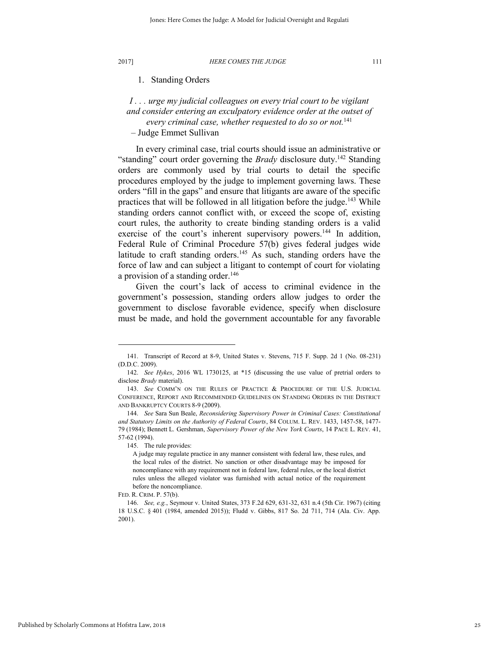### 1. Standing Orders

# *I . . . urge my judicial colleagues on every trial court to be vigilant and consider entering an exculpatory evidence order at the outset of*

*every criminal case, whether requested to do so or not.*<sup>141</sup>

– Judge Emmet Sullivan

In every criminal case, trial courts should issue an administrative or "standing" court order governing the *Brady* disclosure duty.<sup>142</sup> Standing orders are commonly used by trial courts to detail the specific procedures employed by the judge to implement governing laws. These orders "fill in the gaps" and ensure that litigants are aware of the specific practices that will be followed in all litigation before the judge.<sup>143</sup> While standing orders cannot conflict with, or exceed the scope of, existing court rules, the authority to create binding standing orders is a valid exercise of the court's inherent supervisory powers.<sup>144</sup> In addition, Federal Rule of Criminal Procedure 57(b) gives federal judges wide latitude to craft standing orders.<sup>145</sup> As such, standing orders have the force of law and can subject a litigant to contempt of court for violating a provision of a standing order.<sup>146</sup>

Given the court's lack of access to criminal evidence in the government's possession, standing orders allow judges to order the government to disclose favorable evidence, specify when disclosure must be made, and hold the government accountable for any favorable

<sup>141.</sup> Transcript of Record at 8-9, United States v. Stevens, 715 F. Supp. 2d 1 (No. 08-231) (D.D.C. 2009).

<sup>142.</sup> *See Hykes*, 2016 WL 1730125, at \*15 (discussing the use value of pretrial orders to disclose *Brady* material).

<sup>143.</sup> *See* COMM'N ON THE RULES OF PRACTICE & PROCEDURE OF THE U.S. JUDICIAL CONFERENCE, REPORT AND RECOMMENDED GUIDELINES ON STANDING ORDERS IN THE DISTRICT AND BANKRUPTCY COURTS 8-9 (2009).

<sup>144.</sup> *See* Sara Sun Beale, *Reconsidering Supervisory Power in Criminal Cases: Constitutional and Statutory Limits on the Authority of Federal Courts*, 84 COLUM. L. REV. 1433, 1457-58, 1477- 79 (1984); Bennett L. Gershman, *Supervisory Power of the New York Courts*, 14 PACE L. REV. 41, 57-62 (1994).

<sup>145.</sup> The rule provides:

A judge may regulate practice in any manner consistent with federal law, these rules, and the local rules of the district. No sanction or other disadvantage may be imposed for noncompliance with any requirement not in federal law, federal rules, or the local district rules unless the alleged violator was furnished with actual notice of the requirement before the noncompliance.

FED. R. CRIM. P. 57(b).

<sup>146.</sup> *See, e.g.*, Seymour v. United States, 373 F.2d 629, 631-32, 631 n.4 (5th Cir. 1967) (citing 18 U.S.C. § 401 (1984, amended 2015)); Fludd v. Gibbs, 817 So. 2d 711, 714 (Ala. Civ. App. 2001).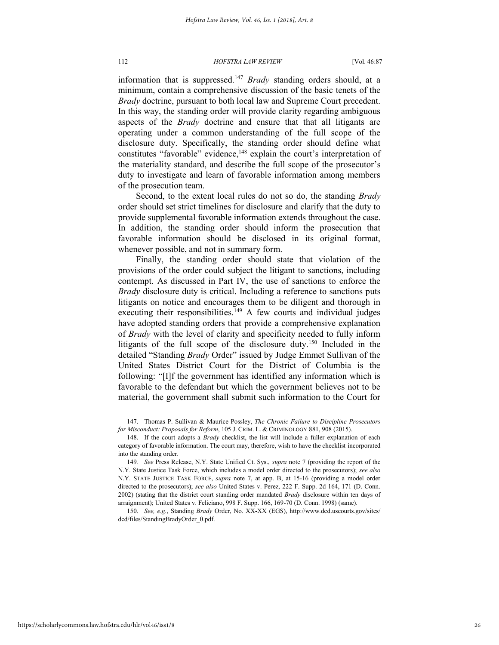information that is suppressed.<sup>147</sup> *Brady* standing orders should, at a minimum, contain a comprehensive discussion of the basic tenets of the *Brady* doctrine, pursuant to both local law and Supreme Court precedent. In this way, the standing order will provide clarity regarding ambiguous aspects of the *Brady* doctrine and ensure that that all litigants are operating under a common understanding of the full scope of the disclosure duty. Specifically, the standing order should define what constitutes "favorable" evidence,<sup>148</sup> explain the court's interpretation of the materiality standard, and describe the full scope of the prosecutor's duty to investigate and learn of favorable information among members of the prosecution team.

Second, to the extent local rules do not so do, the standing *Brady* order should set strict timelines for disclosure and clarify that the duty to provide supplemental favorable information extends throughout the case. In addition, the standing order should inform the prosecution that favorable information should be disclosed in its original format, whenever possible, and not in summary form.

Finally, the standing order should state that violation of the provisions of the order could subject the litigant to sanctions, including contempt. As discussed in Part IV, the use of sanctions to enforce the *Brady* disclosure duty is critical. Including a reference to sanctions puts litigants on notice and encourages them to be diligent and thorough in executing their responsibilities.<sup>149</sup> A few courts and individual judges have adopted standing orders that provide a comprehensive explanation of *Brady* with the level of clarity and specificity needed to fully inform litigants of the full scope of the disclosure duty.<sup>150</sup> Included in the detailed "Standing *Brady* Order" issued by Judge Emmet Sullivan of the United States District Court for the District of Columbia is the following: "[I]f the government has identified any information which is favorable to the defendant but which the government believes not to be material, the government shall submit such information to the Court for

<sup>147.</sup> Thomas P. Sullivan & Maurice Possley, *The Chronic Failure to Discipline Prosecutors for Misconduct: Proposals for Reform*, 105 J. CRIM. L. & CRIMINOLOGY 881, 908 (2015).

<sup>148.</sup> If the court adopts a *Brady* checklist, the list will include a fuller explanation of each category of favorable information. The court may, therefore, wish to have the checklist incorporated into the standing order.

<sup>149</sup>*. See* Press Release, N.Y. State Unified Ct. Sys., *supra* note 7 (providing the report of the N.Y. State Justice Task Force, which includes a model order directed to the prosecutors); *see also* N.Y. STATE JUSTICE TASK FORCE, *supra* note 7, at app. B, at 15-16 (providing a model order directed to the prosecutors); *see also* United States v. Perez, 222 F. Supp. 2d 164, 171 (D. Conn. 2002) (stating that the district court standing order mandated *Brady* disclosure within ten days of arraignment); United States v. Feliciano, 998 F. Supp. 166, 169-70 (D. Conn. 1998) (same).

<sup>150.</sup> *See, e.g.*, Standing *Brady* Order, No. XX-XX (EGS), http://www.dcd.uscourts.gov/sites/ dcd/files/StandingBradyOrder\_0.pdf.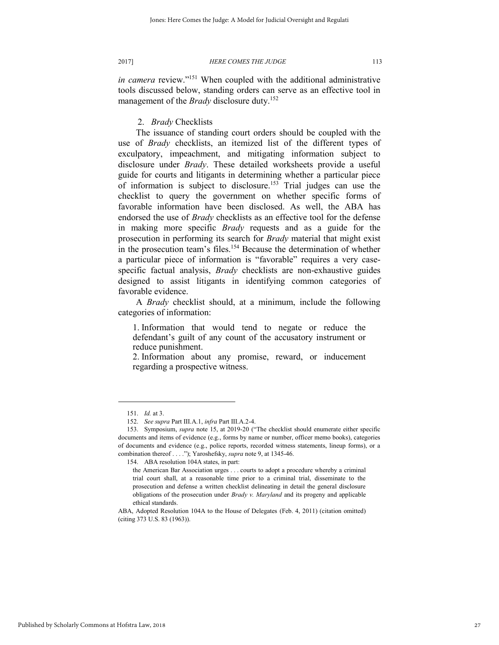*in camera* review." <sup>151</sup> When coupled with the additional administrative tools discussed below, standing orders can serve as an effective tool in management of the *Brady* disclosure duty.<sup>152</sup>

#### 2. *Brady* Checklists

The issuance of standing court orders should be coupled with the use of *Brady* checklists, an itemized list of the different types of exculpatory, impeachment, and mitigating information subject to disclosure under *Brady*. These detailed worksheets provide a useful guide for courts and litigants in determining whether a particular piece of information is subject to disclosure.<sup>153</sup> Trial judges can use the checklist to query the government on whether specific forms of favorable information have been disclosed. As well, the ABA has endorsed the use of *Brady* checklists as an effective tool for the defense in making more specific *Brady* requests and as a guide for the prosecution in performing its search for *Brady* material that might exist in the prosecution team's files.<sup>154</sup> Because the determination of whether a particular piece of information is "favorable" requires a very casespecific factual analysis, *Brady* checklists are non-exhaustive guides designed to assist litigants in identifying common categories of favorable evidence.

A *Brady* checklist should, at a minimum, include the following categories of information:

1. Information that would tend to negate or reduce the defendant's guilt of any count of the accusatory instrument or reduce punishment.

2. Information about any promise, reward, or inducement regarding a prospective witness.

<sup>151.</sup> *Id.* at 3.

<sup>152.</sup> *See supra* Part III.A.1, *infra* Part III.A.2-4.

<sup>153.</sup> Symposium, *supra* note 15, at 2019-20 ("The checklist should enumerate either specific documents and items of evidence (e.g., forms by name or number, officer memo books), categories of documents and evidence (e.g., police reports, recorded witness statements, lineup forms), or a combination thereof . . . ."); Yaroshefsky, *supra* note 9, at 1345-46.

<sup>154.</sup> ABA resolution 104A states, in part:

the American Bar Association urges . . . courts to adopt a procedure whereby a criminal trial court shall, at a reasonable time prior to a criminal trial, disseminate to the prosecution and defense a written checklist delineating in detail the general disclosure obligations of the prosecution under *Brady v. Maryland* and its progeny and applicable ethical standards.

ABA, Adopted Resolution 104A to the House of Delegates (Feb. 4, 2011) (citation omitted) (citing 373 U.S. 83 (1963)).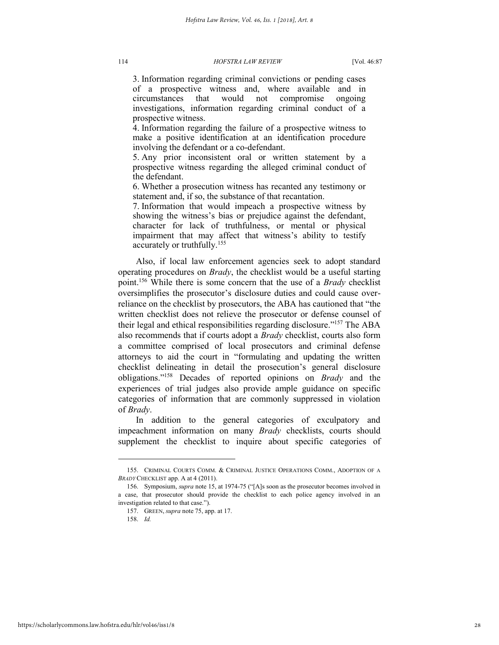3. Information regarding criminal convictions or pending cases of a prospective witness and, where available and in circumstances that would not compromise ongoing investigations, information regarding criminal conduct of a prospective witness.

4. Information regarding the failure of a prospective witness to make a positive identification at an identification procedure involving the defendant or a co-defendant.

5. Any prior inconsistent oral or written statement by a prospective witness regarding the alleged criminal conduct of the defendant.

6. Whether a prosecution witness has recanted any testimony or statement and, if so, the substance of that recantation.

7. Information that would impeach a prospective witness by showing the witness's bias or prejudice against the defendant, character for lack of truthfulness, or mental or physical impairment that may affect that witness's ability to testify accurately or truthfully.<sup>155</sup>

Also, if local law enforcement agencies seek to adopt standard operating procedures on *Brady*, the checklist would be a useful starting point.<sup>156</sup> While there is some concern that the use of a *Brady* checklist oversimplifies the prosecutor's disclosure duties and could cause overreliance on the checklist by prosecutors, the ABA has cautioned that "the written checklist does not relieve the prosecutor or defense counsel of their legal and ethical responsibilities regarding disclosure." <sup>157</sup> The ABA also recommends that if courts adopt a *Brady* checklist, courts also form a committee comprised of local prosecutors and criminal defense attorneys to aid the court in "formulating and updating the written checklist delineating in detail the prosecution's general disclosure obligations." <sup>158</sup> Decades of reported opinions on *Brady* and the experiences of trial judges also provide ample guidance on specific categories of information that are commonly suppressed in violation of *Brady*.

In addition to the general categories of exculpatory and impeachment information on many *Brady* checklists, courts should supplement the checklist to inquire about specific categories of

<sup>155.</sup> CRIMINAL COURTS COMM. & CRIMINAL JUSTICE OPERATIONS COMM., ADOPTION OF A *BRADY* CHECKLIST app. A at 4 (2011).

<sup>156.</sup> Symposium, *supra* note 15, at 1974-75 ("[A]s soon as the prosecutor becomes involved in a case, that prosecutor should provide the checklist to each police agency involved in an investigation related to that case.").

<sup>157.</sup> GREEN, *supra* note 75, app. at 17.

<sup>158.</sup> *Id.*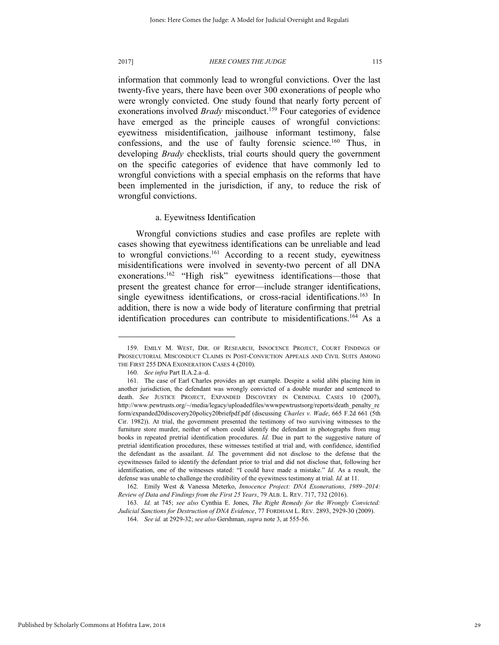information that commonly lead to wrongful convictions. Over the last twenty-five years, there have been over 300 exonerations of people who were wrongly convicted. One study found that nearly forty percent of exonerations involved *Brady* misconduct.<sup>159</sup> Four categories of evidence have emerged as the principle causes of wrongful convictions: eyewitness misidentification, jailhouse informant testimony, false confessions, and the use of faulty forensic science.<sup>160</sup> Thus, in developing *Brady* checklists, trial courts should query the government on the specific categories of evidence that have commonly led to wrongful convictions with a special emphasis on the reforms that have been implemented in the jurisdiction, if any, to reduce the risk of wrongful convictions.

#### a. Eyewitness Identification

Wrongful convictions studies and case profiles are replete with cases showing that eyewitness identifications can be unreliable and lead to wrongful convictions.<sup>161</sup> According to a recent study, eyewitness misidentifications were involved in seventy-two percent of all DNA exonerations.<sup>162</sup> "High risk" eyewitness identifications—those that present the greatest chance for error—include stranger identifications, single eyewitness identifications, or cross-racial identifications.<sup>163</sup> In addition, there is now a wide body of literature confirming that pretrial identification procedures can contribute to misidentifications.<sup>164</sup> As a

<sup>159.</sup> EMILY M. WEST, DIR. OF RESEARCH, INNOCENCE PROJECT, COURT FINDINGS OF PROSECUTORIAL MISCONDUCT CLAIMS IN POST-CONVICTION APPEALS AND CIVIL SUITS AMONG THE FIRST 255 DNA EXONERATION CASES 4 (2010).

<sup>160.</sup> *See infra* Part II.A.2.a–d.

<sup>161.</sup> The case of Earl Charles provides an apt example. Despite a solid alibi placing him in another jurisdiction, the defendant was wrongly convicted of a double murder and sentenced to death. *See* JUSTICE PROJECT, EXPANDED DISCOVERY IN CRIMINAL CASES 10 (2007), http://www.pewtrusts.org/~/media/legacy/uploadedfiles/wwwpewtrustsorg/reports/death\_penalty\_re form/expanded20discovery20policy20briefpdf.pdf (discussing *Charles v. Wade*, 665 F.2d 661 (5th Cir. 1982)). At trial, the government presented the testimony of two surviving witnesses to the furniture store murder, neither of whom could identify the defendant in photographs from mug books in repeated pretrial identification procedures. *Id.* Due in part to the suggestive nature of pretrial identification procedures, these witnesses testified at trial and, with confidence, identified the defendant as the assailant. *Id.* The government did not disclose to the defense that the eyewitnesses failed to identify the defendant prior to trial and did not disclose that, following her identification, one of the witnesses stated: "I could have made a mistake." *Id*. As a result, the defense was unable to challenge the credibility of the eyewitness testimony at trial. *Id.* at 11.

<sup>162.</sup> Emily West & Vanessa Meterko, *Innocence Project: DNA Exonerations, 1989–2014: Review of Data and Findings from the First 25 Years*, 79 ALB. L. REV. 717, 732 (2016).

<sup>163.</sup> *Id.* at 745; *see also* Cynthia E. Jones, *The Right Remedy for the Wrongly Convicted: Judicial Sanctions for Destruction of DNA Evidence*, 77 FORDHAM L. REV. 2893, 2929-30 (2009).

<sup>164.</sup> *See id.* at 2929-32; *see also* Gershman, *supra* note 3, at 555-56.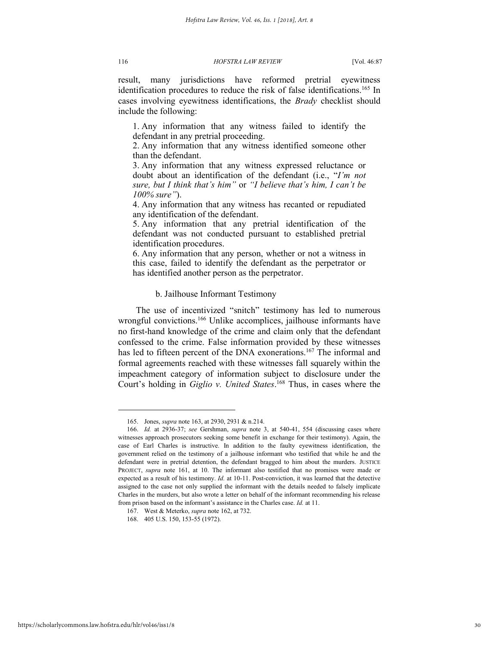result, many jurisdictions have reformed pretrial eyewitness identification procedures to reduce the risk of false identifications.<sup>165</sup> In cases involving eyewitness identifications, the *Brady* checklist should include the following:

1. Any information that any witness failed to identify the defendant in any pretrial proceeding.

2. Any information that any witness identified someone other than the defendant.

3. Any information that any witness expressed reluctance or doubt about an identification of the defendant (i.e., "*I'm not sure, but I think that's him"* or *"I believe that's him, I can't be 100% sure"*).

4. Any information that any witness has recanted or repudiated any identification of the defendant.

5. Any information that any pretrial identification of the defendant was not conducted pursuant to established pretrial identification procedures.

6. Any information that any person, whether or not a witness in this case, failed to identify the defendant as the perpetrator or has identified another person as the perpetrator.

#### b. Jailhouse Informant Testimony

The use of incentivized "snitch" testimony has led to numerous wrongful convictions.<sup>166</sup> Unlike accomplices, jailhouse informants have no first-hand knowledge of the crime and claim only that the defendant confessed to the crime. False information provided by these witnesses has led to fifteen percent of the DNA exonerations.<sup>167</sup> The informal and formal agreements reached with these witnesses fall squarely within the impeachment category of information subject to disclosure under the Court's holding in *Giglio v. United States*. <sup>168</sup> Thus, in cases where the

<sup>165.</sup> Jones, *supra* note 163, at 2930, 2931 & n.214.

<sup>166.</sup> *Id.* at 2936-37; *see* Gershman, *supra* note 3, at 540-41, 554 (discussing cases where witnesses approach prosecutors seeking some benefit in exchange for their testimony). Again, the case of Earl Charles is instructive. In addition to the faulty eyewitness identification, the government relied on the testimony of a jailhouse informant who testified that while he and the defendant were in pretrial detention, the defendant bragged to him about the murders. JUSTICE PROJECT, *supra* note 161, at 10. The informant also testified that no promises were made or expected as a result of his testimony. *Id.* at 10-11. Post-conviction, it was learned that the detective assigned to the case not only supplied the informant with the details needed to falsely implicate Charles in the murders, but also wrote a letter on behalf of the informant recommending his release from prison based on the informant's assistance in the Charles case. *Id.* at 11.

<sup>167.</sup> West & Meterko, *supra* note 162, at 732.

<sup>168.</sup> 405 U.S. 150, 153-55 (1972).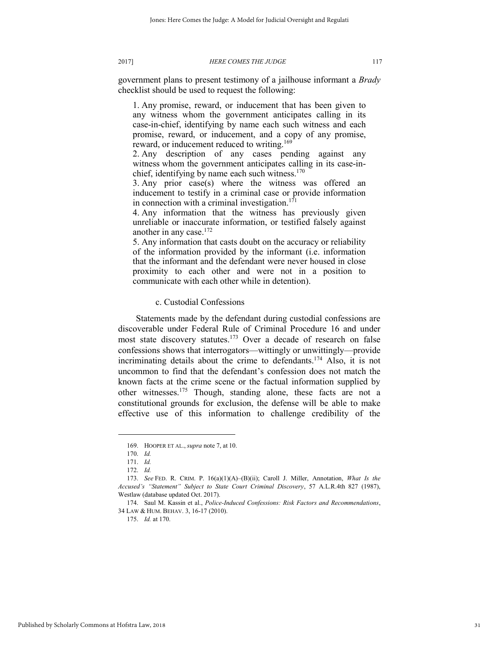government plans to present testimony of a jailhouse informant a *Brady* checklist should be used to request the following:

1. Any promise, reward, or inducement that has been given to any witness whom the government anticipates calling in its case-in-chief, identifying by name each such witness and each promise, reward, or inducement, and a copy of any promise, reward, or inducement reduced to writing.<sup>169</sup>

2. Any description of any cases pending against any witness whom the government anticipates calling in its case-inchief, identifying by name each such witness.<sup>170</sup>

3. Any prior case(s) where the witness was offered an inducement to testify in a criminal case or provide information in connection with a criminal investigation.<sup>171</sup>

4. Any information that the witness has previously given unreliable or inaccurate information, or testified falsely against another in any case.<sup>172</sup>

5. Any information that casts doubt on the accuracy or reliability of the information provided by the informant (i.e. information that the informant and the defendant were never housed in close proximity to each other and were not in a position to communicate with each other while in detention).

#### c. Custodial Confessions

Statements made by the defendant during custodial confessions are discoverable under Federal Rule of Criminal Procedure 16 and under most state discovery statutes.<sup>173</sup> Over a decade of research on false confessions shows that interrogators—wittingly or unwittingly—provide incriminating details about the crime to defendants.<sup>174</sup> Also, it is not uncommon to find that the defendant's confession does not match the known facts at the crime scene or the factual information supplied by other witnesses.<sup>175</sup> Though, standing alone, these facts are not a constitutional grounds for exclusion, the defense will be able to make effective use of this information to challenge credibility of the

l

175. *Id.* at 170.

<sup>169.</sup> HOOPER ET AL., *supra* note 7, at 10.

<sup>170.</sup> *Id.*

<sup>171.</sup> *Id.*

<sup>172.</sup> *Id.*

<sup>173.</sup> *See* FED. R. CRIM. P. 16(a)(1)(A)–(B)(ii); Caroll J. Miller, Annotation, *What Is the Accused's "Statement" Subject to State Court Criminal Discovery*, 57 A.L.R.4th 827 (1987), Westlaw (database updated Oct. 2017).

<sup>174.</sup> Saul M. Kassin et al., *Police-Induced Confessions: Risk Factors and Recommendations*, 34 LAW & HUM. BEHAV. 3, 16-17 (2010).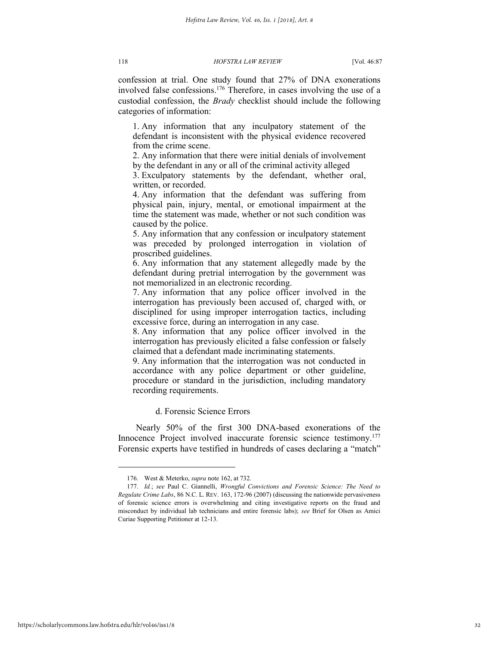confession at trial. One study found that 27% of DNA exonerations involved false confessions.<sup>176</sup> Therefore, in cases involving the use of a custodial confession, the *Brady* checklist should include the following categories of information:

1. Any information that any inculpatory statement of the defendant is inconsistent with the physical evidence recovered from the crime scene.

2. Any information that there were initial denials of involvement by the defendant in any or all of the criminal activity alleged

3. Exculpatory statements by the defendant, whether oral, written, or recorded.

4. Any information that the defendant was suffering from physical pain, injury, mental, or emotional impairment at the time the statement was made, whether or not such condition was caused by the police.

5. Any information that any confession or inculpatory statement was preceded by prolonged interrogation in violation of proscribed guidelines.

6. Any information that any statement allegedly made by the defendant during pretrial interrogation by the government was not memorialized in an electronic recording.

7. Any information that any police officer involved in the interrogation has previously been accused of, charged with, or disciplined for using improper interrogation tactics, including excessive force, during an interrogation in any case.

8. Any information that any police officer involved in the interrogation has previously elicited a false confession or falsely claimed that a defendant made incriminating statements.

9. Any information that the interrogation was not conducted in accordance with any police department or other guideline, procedure or standard in the jurisdiction, including mandatory recording requirements.

d. Forensic Science Errors

Nearly 50% of the first 300 DNA-based exonerations of the Innocence Project involved inaccurate forensic science testimony.<sup>177</sup> Forensic experts have testified in hundreds of cases declaring a "match"

<sup>176.</sup> West & Meterko, *supra* note 162, at 732.

<sup>177.</sup> *Id.*; *see* Paul C. Giannelli, *Wrongful Convictions and Forensic Science: The Need to Regulate Crime Labs*, 86 N.C. L. REV. 163, 172-96 (2007) (discussing the nationwide pervasiveness of forensic science errors is overwhelming and citing investigative reports on the fraud and misconduct by individual lab technicians and entire forensic labs); *see* Brief for Olsen as Amici Curiae Supporting Petitioner at 12-13.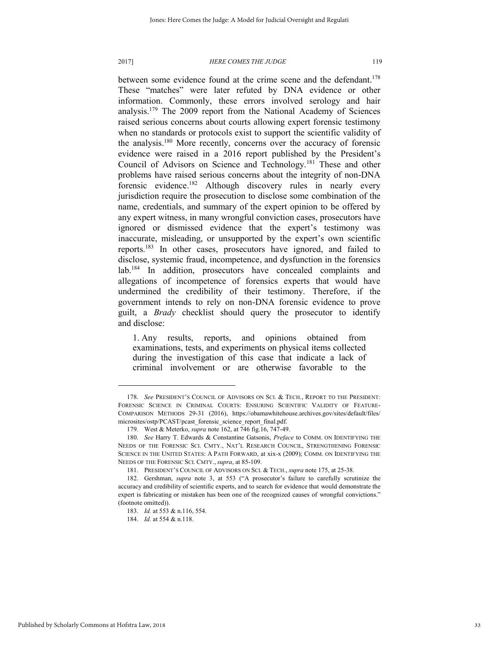between some evidence found at the crime scene and the defendant.<sup>178</sup> These "matches" were later refuted by DNA evidence or other information. Commonly, these errors involved serology and hair analysis.<sup>179</sup> The 2009 report from the National Academy of Sciences raised serious concerns about courts allowing expert forensic testimony when no standards or protocols exist to support the scientific validity of the analysis.<sup>180</sup> More recently, concerns over the accuracy of forensic evidence were raised in a 2016 report published by the President's Council of Advisors on Science and Technology.<sup>181</sup> These and other problems have raised serious concerns about the integrity of non-DNA forensic evidence.<sup>182</sup> Although discovery rules in nearly every jurisdiction require the prosecution to disclose some combination of the name, credentials, and summary of the expert opinion to be offered by any expert witness, in many wrongful conviction cases, prosecutors have ignored or dismissed evidence that the expert's testimony was inaccurate, misleading, or unsupported by the expert's own scientific reports.<sup>183</sup> In other cases, prosecutors have ignored, and failed to disclose, systemic fraud, incompetence, and dysfunction in the forensics lab.<sup>184</sup> In addition, prosecutors have concealed complaints and allegations of incompetence of forensics experts that would have undermined the credibility of their testimony. Therefore, if the government intends to rely on non-DNA forensic evidence to prove guilt, a *Brady* checklist should query the prosecutor to identify

and disclose:

l

1. Any results, reports, and opinions obtained from examinations, tests, and experiments on physical items collected during the investigation of this case that indicate a lack of criminal involvement or are otherwise favorable to the

<sup>178.</sup> *See* PRESIDENT'S COUNCIL OF ADVISORS ON SCI. & TECH., REPORT TO THE PRESIDENT: FORENSIC SCIENCE IN CRIMINAL COURTS: ENSURING SCIENTIFIC VALIDITY OF FEATURE-COMPARISON METHODS 29-31 (2016), https://obamawhitehouse.archives.gov/sites/default/files/ microsites/ostp/PCAST/pcast\_forensic\_science\_report\_final.pdf.

<sup>179.</sup> West & Meterko, *supra* note 162, at 746 fig.16, 747-49.

<sup>180.</sup> *See* Harry T. Edwards & Constantine Gatsonis, *Preface* to COMM. ON IDENTIFYING THE NEEDS OF THE FORENSIC SCI. CMTY., NAT'L RESEARCH COUNCIL, STRENGTHENING FORENSIC SCIENCE IN THE UNITED STATES: A PATH FORWARD, at xix-x (2009); COMM. ON IDENTIFYING THE NEEDS OF THE FORENSIC SCI. CMTY., *supra*, at 85-109.

<sup>181.</sup> PRESIDENT'S COUNCIL OF ADVISORS ON SCI. & TECH., *supra* note 175, at 25-38.

<sup>182.</sup> Gershman, *supra* note 3, at 553 ("A prosecutor's failure to carefully scrutinize the accuracy and credibility of scientific experts, and to search for evidence that would demonstrate the expert is fabricating or mistaken has been one of the recognized causes of wrongful convictions." (footnote omitted)).

<sup>183.</sup> *Id.* at 553 & n.116, 554.

<sup>184.</sup> *Id.* at 554 & n.118.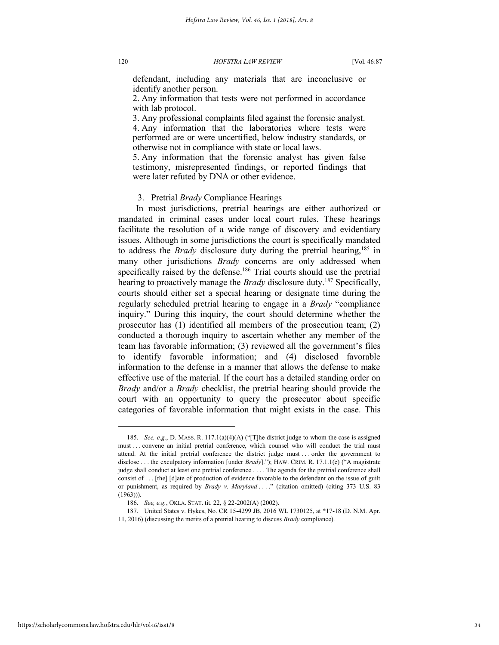defendant, including any materials that are inconclusive or identify another person.

2. Any information that tests were not performed in accordance with lab protocol.

3. Any professional complaints filed against the forensic analyst. 4. Any information that the laboratories where tests were performed are or were uncertified, below industry standards, or otherwise not in compliance with state or local laws.

5. Any information that the forensic analyst has given false testimony, misrepresented findings, or reported findings that were later refuted by DNA or other evidence.

### 3. Pretrial *Brady* Compliance Hearings

In most jurisdictions, pretrial hearings are either authorized or mandated in criminal cases under local court rules. These hearings facilitate the resolution of a wide range of discovery and evidentiary issues. Although in some jurisdictions the court is specifically mandated to address the *Brady* disclosure duty during the pretrial hearing,<sup>185</sup> in many other jurisdictions *Brady* concerns are only addressed when specifically raised by the defense.<sup>186</sup> Trial courts should use the pretrial hearing to proactively manage the *Brady* disclosure duty.<sup>187</sup> Specifically, courts should either set a special hearing or designate time during the regularly scheduled pretrial hearing to engage in a *Brady* "compliance inquiry." During this inquiry, the court should determine whether the prosecutor has (1) identified all members of the prosecution team; (2) conducted a thorough inquiry to ascertain whether any member of the team has favorable information; (3) reviewed all the government's files to identify favorable information; and (4) disclosed favorable information to the defense in a manner that allows the defense to make effective use of the material. If the court has a detailed standing order on *Brady* and/or a *Brady* checklist, the pretrial hearing should provide the court with an opportunity to query the prosecutor about specific categories of favorable information that might exists in the case. This

<sup>185.</sup> *See, e.g.*, D. MASS. R. 117.1(a)(4)(A) ("[T]he district judge to whom the case is assigned must . . . convene an initial pretrial conference, which counsel who will conduct the trial must attend. At the initial pretrial conference the district judge must . . . order the government to disclose . . . the exculpatory information [under *Brady*]."); HAW. CRIM. R. 17.1.1(c) ("A magistrate judge shall conduct at least one pretrial conference . . . . The agenda for the pretrial conference shall consist of . . . [the] [d]ate of production of evidence favorable to the defendant on the issue of guilt or punishment, as required by *Brady v. Maryland ...*." (citation omitted) (citing 373 U.S. 83 (1963))).

<sup>186.</sup> *See, e.g.*, OKLA. STAT. tit. 22, § 22-2002(A) (2002).

<sup>187.</sup> United States v. Hykes, No. CR 15-4299 JB, 2016 WL 1730125, at \*17-18 (D. N.M. Apr. 11, 2016) (discussing the merits of a pretrial hearing to discuss *Brady* compliance).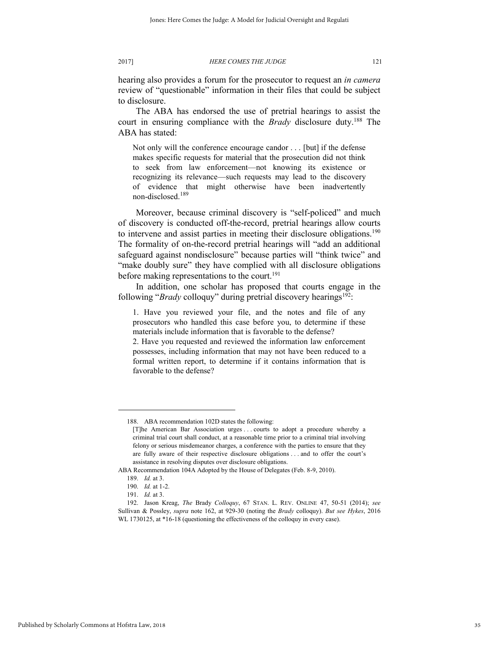hearing also provides a forum for the prosecutor to request an *in camera* review of "questionable" information in their files that could be subject to disclosure.

The ABA has endorsed the use of pretrial hearings to assist the court in ensuring compliance with the *Brady* disclosure duty.<sup>188</sup> The ABA has stated:

Not only will the conference encourage candor . . . [but] if the defense makes specific requests for material that the prosecution did not think to seek from law enforcement—not knowing its existence or recognizing its relevance—such requests may lead to the discovery of evidence that might otherwise have been inadvertently non-disclosed.<sup>189</sup>

Moreover, because criminal discovery is "self-policed" and much of discovery is conducted off-the-record, pretrial hearings allow courts to intervene and assist parties in meeting their disclosure obligations.<sup>190</sup> The formality of on-the-record pretrial hearings will "add an additional safeguard against nondisclosure" because parties will "think twice" and "make doubly sure" they have complied with all disclosure obligations before making representations to the court.<sup>191</sup>

In addition, one scholar has proposed that courts engage in the following "*Brady* colloquy" during pretrial discovery hearings<sup>192</sup>:

1. Have you reviewed your file, and the notes and file of any prosecutors who handled this case before you, to determine if these materials include information that is favorable to the defense?

2. Have you requested and reviewed the information law enforcement possesses, including information that may not have been reduced to a formal written report, to determine if it contains information that is favorable to the defense?

<sup>188.</sup> ABA recommendation 102D states the following:

<sup>[</sup>T]he American Bar Association urges . . . courts to adopt a procedure whereby a criminal trial court shall conduct, at a reasonable time prior to a criminal trial involving felony or serious misdemeanor charges, a conference with the parties to ensure that they are fully aware of their respective disclosure obligations . . . and to offer the court's assistance in resolving disputes over disclosure obligations.

ABA Recommendation 104A Adopted by the House of Delegates (Feb. 8-9, 2010).

<sup>189.</sup> *Id.* at 3.

<sup>190.</sup> *Id.* at 1-2.

<sup>191.</sup> *Id.* at 3.

<sup>192.</sup> Jason Kreag, *The* Brady *Colloquy*, 67 STAN. L. REV. ONLINE 47, 50-51 (2014); *see*  Sullivan & Possley, *supra* note 162, at 929-30 (noting the *Brady* colloquy). *But see Hykes*, 2016 WL 1730125, at \*16-18 (questioning the effectiveness of the colloquy in every case).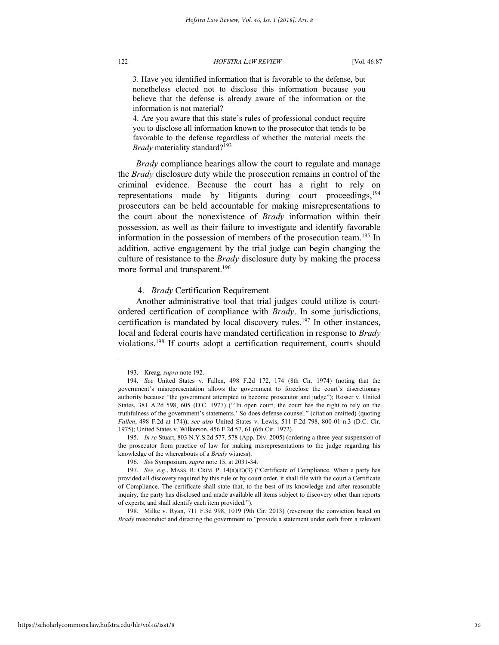3. Have you identified information that is favorable to the defense, but nonetheless elected not to disclose this information because you believe that the defense is already aware of the information or the information is not material?

4. Are you aware that this state's rules of professional conduct require you to disclose all information known to the prosecutor that tends to be favorable to the defense regardless of whether the material meets the *Brady* materiality standard?<sup>193</sup>

*Brady* compliance hearings allow the court to regulate and manage the *Brady* disclosure duty while the prosecution remains in control of the criminal evidence. Because the court has a right to rely on representations made by litigants during court proceedings,<sup>194</sup> prosecutors can be held accountable for making misrepresentations to the court about the nonexistence of *Brady* information within their possession, as well as their failure to investigate and identify favorable information in the possession of members of the prosecution team.<sup>195</sup> In addition, active engagement by the trial judge can begin changing the culture of resistance to the *Brady* disclosure duty by making the process more formal and transparent.<sup>196</sup>

#### 4. *Brady* Certification Requirement

Another administrative tool that trial judges could utilize is courtordered certification of compliance with *Brady*. In some jurisdictions, certification is mandated by local discovery rules.<sup>197</sup> In other instances, local and federal courts have mandated certification in response to *Brady* violations.<sup>198</sup> If courts adopt a certification requirement, courts should

l

198. Milke v. Ryan, 711 F.3d 998, 1019 (9th Cir. 2013) (reversing the conviction based on *Brady* misconduct and directing the government to "provide a statement under oath from a relevant

<sup>193.</sup> Kreag, *supra* note 192.

<sup>194.</sup> *See* United States v. Fallen, 498 F.2d 172, 174 (8th Cir. 1974) (noting that the government's misrepresentation allows the government to foreclose the court's discretionary authority because "the government attempted to become prosecutor and judge"); Rosser v. United States, 381 A.2d 598, 605 (D.C. 1977) ("'In open court, the court has the right to rely on the truthfulness of the government's statements.' So does defense counsel." (citation omitted) (quoting *Fallen*, 498 F.2d at 174)); *see also* United States v. Lewis, 511 F.2d 798, 800-01 n.3 (D.C. Cir. 1975); United States v. Wilkerson, 456 F.2d 57, 61 (6th Cir. 1972).

<sup>195.</sup> *In re* Stuart, 803 N.Y.S.2d 577, 578 (App. Div. 2005) (ordering a three-year suspension of the prosecutor from practice of law for making misrepresentations to the judge regarding his knowledge of the whereabouts of a *Brady* witness).

<sup>196.</sup> *See* Symposium, *supra* note 15, at 2031-34.

<sup>197.</sup> *See, e.g.*, MASS. R. CRIM. P. 14(a)(E)(3) ("Certificate of Compliance. When a party has provided all discovery required by this rule or by court order, it shall file with the court a Certificate of Compliance. The certificate shall state that, to the best of its knowledge and after reasonable inquiry, the party has disclosed and made available all items subject to discovery other than reports of experts, and shall identify each item provided.").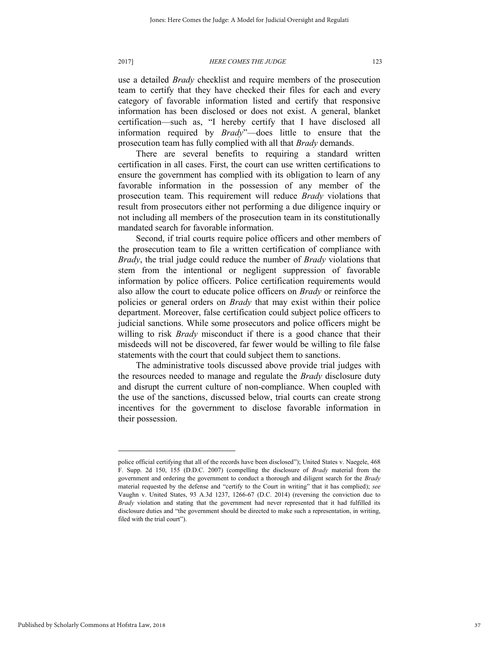use a detailed *Brady* checklist and require members of the prosecution team to certify that they have checked their files for each and every category of favorable information listed and certify that responsive information has been disclosed or does not exist. A general, blanket certification—such as, "I hereby certify that I have disclosed all information required by *Brady*"—does little to ensure that the prosecution team has fully complied with all that *Brady* demands.

There are several benefits to requiring a standard written certification in all cases. First, the court can use written certifications to ensure the government has complied with its obligation to learn of any favorable information in the possession of any member of the prosecution team. This requirement will reduce *Brady* violations that result from prosecutors either not performing a due diligence inquiry or not including all members of the prosecution team in its constitutionally mandated search for favorable information.

Second, if trial courts require police officers and other members of the prosecution team to file a written certification of compliance with *Brady*, the trial judge could reduce the number of *Brady* violations that stem from the intentional or negligent suppression of favorable information by police officers. Police certification requirements would also allow the court to educate police officers on *Brady* or reinforce the policies or general orders on *Brady* that may exist within their police department. Moreover, false certification could subject police officers to judicial sanctions. While some prosecutors and police officers might be willing to risk *Brady* misconduct if there is a good chance that their misdeeds will not be discovered, far fewer would be willing to file false statements with the court that could subject them to sanctions.

The administrative tools discussed above provide trial judges with the resources needed to manage and regulate the *Brady* disclosure duty and disrupt the current culture of non-compliance. When coupled with the use of the sanctions, discussed below, trial courts can create strong incentives for the government to disclose favorable information in their possession.

police official certifying that all of the records have been disclosed"); United States v. Naegele, 468 F. Supp. 2d 150, 155 (D.D.C. 2007) (compelling the disclosure of *Brady* material from the government and ordering the government to conduct a thorough and diligent search for the *Brady* material requested by the defense and "certify to the Court in writing" that it has complied); *see* Vaughn v. United States, 93 A.3d 1237, 1266-67 (D.C. 2014) (reversing the conviction due to *Brady* violation and stating that the government had never represented that it had fulfilled its disclosure duties and "the government should be directed to make such a representation, in writing, filed with the trial court").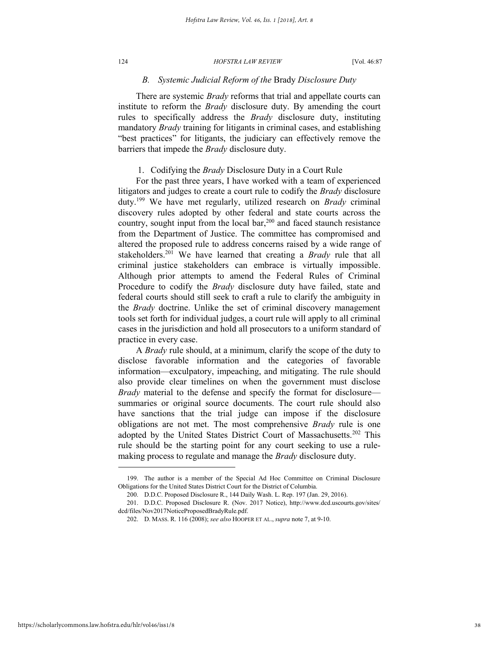### *B. Systemic Judicial Reform of the* Brady *Disclosure Duty*

There are systemic *Brady* reforms that trial and appellate courts can institute to reform the *Brady* disclosure duty. By amending the court rules to specifically address the *Brady* disclosure duty, instituting mandatory *Brady* training for litigants in criminal cases, and establishing "best practices" for litigants, the judiciary can effectively remove the barriers that impede the *Brady* disclosure duty.

#### 1. Codifying the *Brady* Disclosure Duty in a Court Rule

For the past three years, I have worked with a team of experienced litigators and judges to create a court rule to codify the *Brady* disclosure duty.<sup>199</sup> We have met regularly, utilized research on *Brady* criminal discovery rules adopted by other federal and state courts across the country, sought input from the local bar,<sup>200</sup> and faced staunch resistance from the Department of Justice. The committee has compromised and altered the proposed rule to address concerns raised by a wide range of stakeholders.<sup>201</sup> We have learned that creating a *Brady* rule that all criminal justice stakeholders can embrace is virtually impossible. Although prior attempts to amend the Federal Rules of Criminal Procedure to codify the *Brady* disclosure duty have failed, state and federal courts should still seek to craft a rule to clarify the ambiguity in the *Brady* doctrine. Unlike the set of criminal discovery management tools set forth for individual judges, a court rule will apply to all criminal cases in the jurisdiction and hold all prosecutors to a uniform standard of practice in every case.

A *Brady* rule should, at a minimum, clarify the scope of the duty to disclose favorable information and the categories of favorable information—exculpatory, impeaching, and mitigating. The rule should also provide clear timelines on when the government must disclose *Brady* material to the defense and specify the format for disclosure summaries or original source documents. The court rule should also have sanctions that the trial judge can impose if the disclosure obligations are not met. The most comprehensive *Brady* rule is one adopted by the United States District Court of Massachusetts.<sup>202</sup> This rule should be the starting point for any court seeking to use a rulemaking process to regulate and manage the *Brady* disclosure duty.

<sup>199.</sup> The author is a member of the Special Ad Hoc Committee on Criminal Disclosure Obligations for the United States District Court for the District of Columbia.

<sup>200.</sup> D.D.C. Proposed Disclosure R., 144 Daily Wash. L. Rep. 197 (Jan. 29, 2016).

<sup>201.</sup> D.D.C. Proposed Disclosure R. (Nov. 2017 Notice), http://www.dcd.uscourts.gov/sites/ dcd/files/Nov2017NoticeProposedBradyRule.pdf.

<sup>202.</sup> D. MASS. R. 116 (2008); *see also* HOOPER ET AL., *supra* note 7, at 9-10.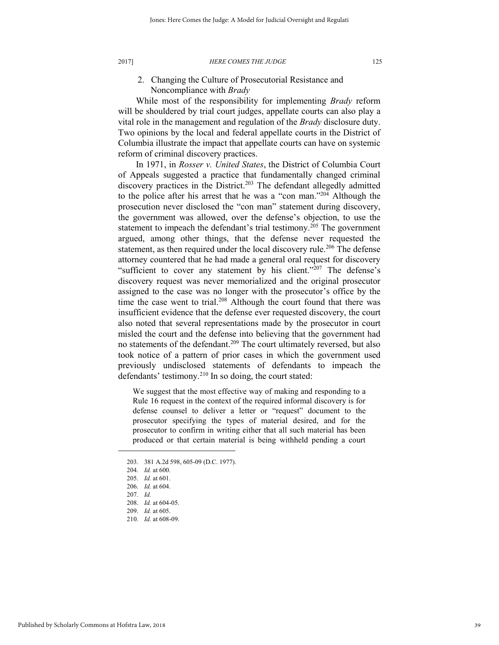# 2. Changing the Culture of Prosecutorial Resistance and Noncompliance with *Brady*

While most of the responsibility for implementing *Brady* reform will be shouldered by trial court judges, appellate courts can also play a vital role in the management and regulation of the *Brady* disclosure duty. Two opinions by the local and federal appellate courts in the District of Columbia illustrate the impact that appellate courts can have on systemic reform of criminal discovery practices.

In 1971, in *Rosser v. United States*, the District of Columbia Court of Appeals suggested a practice that fundamentally changed criminal discovery practices in the District.<sup>203</sup> The defendant allegedly admitted to the police after his arrest that he was a "con man." <sup>204</sup> Although the prosecution never disclosed the "con man" statement during discovery, the government was allowed, over the defense's objection, to use the statement to impeach the defendant's trial testimony.<sup>205</sup> The government argued, among other things, that the defense never requested the statement, as then required under the local discovery rule.<sup>206</sup> The defense attorney countered that he had made a general oral request for discovery "sufficient to cover any statement by his client."<sup>207</sup> The defense's discovery request was never memorialized and the original prosecutor assigned to the case was no longer with the prosecutor's office by the time the case went to trial.<sup>208</sup> Although the court found that there was insufficient evidence that the defense ever requested discovery, the court also noted that several representations made by the prosecutor in court misled the court and the defense into believing that the government had no statements of the defendant.<sup>209</sup> The court ultimately reversed, but also took notice of a pattern of prior cases in which the government used previously undisclosed statements of defendants to impeach the defendants' testimony.<sup>210</sup> In so doing, the court stated:

We suggest that the most effective way of making and responding to a Rule 16 request in the context of the required informal discovery is for defense counsel to deliver a letter or "request" document to the prosecutor specifying the types of material desired, and for the prosecutor to confirm in writing either that all such material has been produced or that certain material is being withheld pending a court

<sup>203.</sup> 381 A.2d 598, 605-09 (D.C. 1977).

<sup>204.</sup> *Id.* at 600.

<sup>205.</sup> *Id.* at 601.

<sup>206.</sup> *Id.* at 604.

<sup>207.</sup> *Id.*

<sup>208.</sup> *Id.* at 604-05.

<sup>209.</sup> *Id.* at 605.

<sup>210.</sup> *Id.* at 608-09.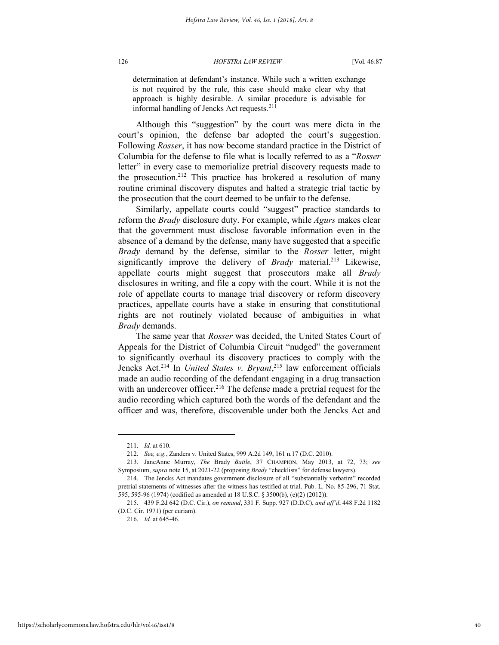determination at defendant's instance. While such a written exchange is not required by the rule, this case should make clear why that approach is highly desirable. A similar procedure is advisable for informal handling of Jencks Act requests.<sup>211</sup>

Although this "suggestion" by the court was mere dicta in the court's opinion, the defense bar adopted the court's suggestion. Following *Rosser*, it has now become standard practice in the District of Columbia for the defense to file what is locally referred to as a "*Rosser* letter" in every case to memorialize pretrial discovery requests made to the prosecution.<sup>212</sup> This practice has brokered a resolution of many routine criminal discovery disputes and halted a strategic trial tactic by the prosecution that the court deemed to be unfair to the defense.

Similarly, appellate courts could "suggest" practice standards to reform the *Brady* disclosure duty. For example, while *Agurs* makes clear that the government must disclose favorable information even in the absence of a demand by the defense, many have suggested that a specific *Brady* demand by the defense, similar to the *Rosser* letter, might significantly improve the delivery of *Brady* material.<sup>213</sup> Likewise, appellate courts might suggest that prosecutors make all *Brady* disclosures in writing, and file a copy with the court. While it is not the role of appellate courts to manage trial discovery or reform discovery practices, appellate courts have a stake in ensuring that constitutional rights are not routinely violated because of ambiguities in what *Brady* demands.

The same year that *Rosser* was decided, the United States Court of Appeals for the District of Columbia Circuit "nudged" the government to significantly overhaul its discovery practices to comply with the Jencks Act.<sup>214</sup> In *United States v. Bryant*, <sup>215</sup> law enforcement officials made an audio recording of the defendant engaging in a drug transaction with an undercover officer.<sup>216</sup> The defense made a pretrial request for the audio recording which captured both the words of the defendant and the officer and was, therefore, discoverable under both the Jencks Act and

<sup>211.</sup> *Id.* at 610.

<sup>212.</sup> *See, e.g.*, Zanders v. United States, 999 A.2d 149, 161 n.17 (D.C. 2010).

<sup>213.</sup> JaneAnne Murray, *The* Brady *Battle*, 37 CHAMPION, May 2013, at 72, 73; *see*  Symposium, *supra* note 15, at 2021-22 (proposing *Brady* "checklists" for defense lawyers).

<sup>214.</sup> The Jencks Act mandates government disclosure of all "substantially verbatim" recorded pretrial statements of witnesses after the witness has testified at trial. Pub. L. No. 85-296, 71 Stat. 595, 595-96 (1974) (codified as amended at 18 U.S.C. § 3500(b), (e)(2) (2012)).

<sup>215. 439</sup> F.2d 642 (D.C. Cir.), *on remand*, 331 F. Supp. 927 (D.D.C), *and aff'd*, 448 F.2d 1182 (D.C. Cir. 1971) (per curiam).

<sup>216.</sup> *Id.* at 645-46.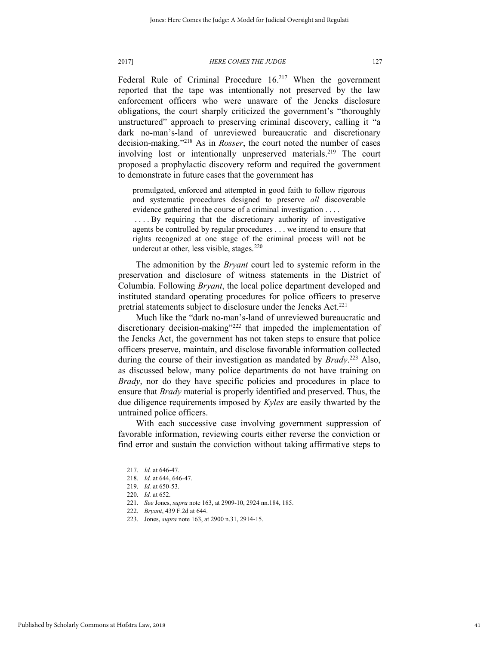Federal Rule of Criminal Procedure 16.<sup>217</sup> When the government reported that the tape was intentionally not preserved by the law enforcement officers who were unaware of the Jencks disclosure obligations, the court sharply criticized the government's "thoroughly unstructured" approach to preserving criminal discovery, calling it "a dark no-man's-land of unreviewed bureaucratic and discretionary decision-making." <sup>218</sup> As in *Rosser*, the court noted the number of cases involving lost or intentionally unpreserved materials.<sup>219</sup> The court proposed a prophylactic discovery reform and required the government to demonstrate in future cases that the government has

promulgated, enforced and attempted in good faith to follow rigorous and systematic procedures designed to preserve *all* discoverable evidence gathered in the course of a criminal investigation . . . .

... By requiring that the discretionary authority of investigative agents be controlled by regular procedures . . . we intend to ensure that rights recognized at one stage of the criminal process will not be undercut at other, less visible, stages.<sup>220</sup>

The admonition by the *Bryant* court led to systemic reform in the preservation and disclosure of witness statements in the District of Columbia. Following *Bryant*, the local police department developed and instituted standard operating procedures for police officers to preserve pretrial statements subject to disclosure under the Jencks Act.<sup>221</sup>

Much like the "dark no-man's-land of unreviewed bureaucratic and discretionary decision-making"<sup>222</sup> that impeded the implementation of the Jencks Act, the government has not taken steps to ensure that police officers preserve, maintain, and disclose favorable information collected during the course of their investigation as mandated by *Brady*. <sup>223</sup> Also, as discussed below, many police departments do not have training on *Brady*, nor do they have specific policies and procedures in place to ensure that *Brady* material is properly identified and preserved. Thus, the due diligence requirements imposed by *Kyles* are easily thwarted by the untrained police officers.

With each successive case involving government suppression of favorable information, reviewing courts either reverse the conviction or find error and sustain the conviction without taking affirmative steps to

l

41

<sup>217.</sup> *Id.* at 646-47.

<sup>218.</sup> *Id.* at 644, 646-47.

<sup>219.</sup> *Id.* at 650-53.

<sup>220.</sup> *Id.* at 652.

<sup>221.</sup> *See* Jones, *supra* note 163, at 2909-10, 2924 nn.184, 185.

<sup>222.</sup> *Bryant*, 439 F.2d at 644.

<sup>223.</sup> Jones, *supra* note 163, at 2900 n.31, 2914-15.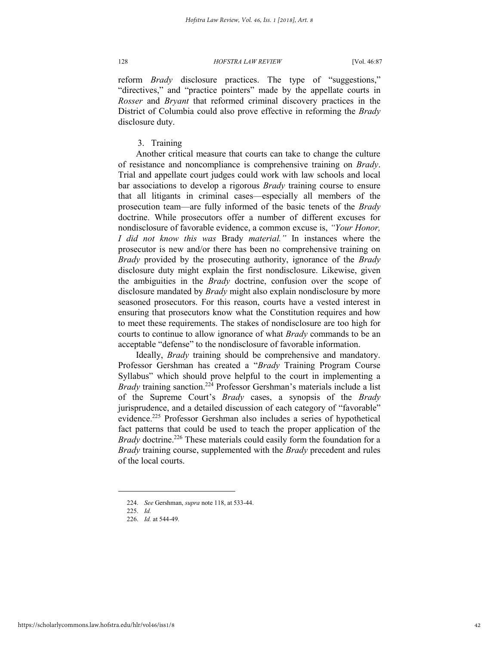reform *Brady* disclosure practices. The type of "suggestions," "directives," and "practice pointers" made by the appellate courts in *Rosser* and *Bryant* that reformed criminal discovery practices in the District of Columbia could also prove effective in reforming the *Brady* disclosure duty.

3. Training

Another critical measure that courts can take to change the culture of resistance and noncompliance is comprehensive training on *Brady*. Trial and appellate court judges could work with law schools and local bar associations to develop a rigorous *Brady* training course to ensure that all litigants in criminal cases—especially all members of the prosecution team—are fully informed of the basic tenets of the *Brady* doctrine. While prosecutors offer a number of different excuses for nondisclosure of favorable evidence, a common excuse is, *"Your Honor, I did not know this was* Brady *material."* In instances where the prosecutor is new and/or there has been no comprehensive training on *Brady* provided by the prosecuting authority, ignorance of the *Brady* disclosure duty might explain the first nondisclosure. Likewise, given the ambiguities in the *Brady* doctrine, confusion over the scope of disclosure mandated by *Brady* might also explain nondisclosure by more seasoned prosecutors. For this reason, courts have a vested interest in ensuring that prosecutors know what the Constitution requires and how to meet these requirements. The stakes of nondisclosure are too high for courts to continue to allow ignorance of what *Brady* commands to be an acceptable "defense" to the nondisclosure of favorable information.

Ideally, *Brady* training should be comprehensive and mandatory. Professor Gershman has created a "*Brady* Training Program Course Syllabus" which should prove helpful to the court in implementing a *Brady* training sanction.<sup>224</sup> Professor Gershman's materials include a list of the Supreme Court's *Brady* cases, a synopsis of the *Brady* jurisprudence, and a detailed discussion of each category of "favorable" evidence.<sup>225</sup> Professor Gershman also includes a series of hypothetical fact patterns that could be used to teach the proper application of the *Brady* doctrine.<sup>226</sup> These materials could easily form the foundation for a *Brady* training course, supplemented with the *Brady* precedent and rules of the local courts.

<sup>224.</sup> *See* Gershman, *supra* note 118, at 533-44.

<sup>225.</sup> *Id.*

<sup>226.</sup> *Id.* at 544-49.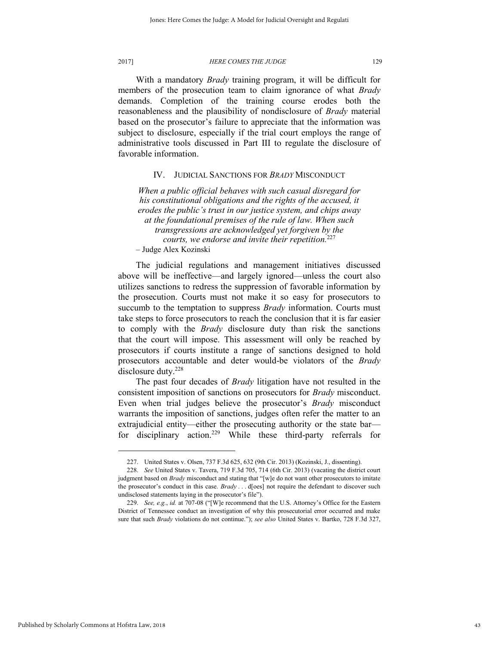With a mandatory *Brady* training program, it will be difficult for members of the prosecution team to claim ignorance of what *Brady* demands. Completion of the training course erodes both the reasonableness and the plausibility of nondisclosure of *Brady* material based on the prosecutor's failure to appreciate that the information was subject to disclosure, especially if the trial court employs the range of administrative tools discussed in Part III to regulate the disclosure of favorable information.

### IV. JUDICIAL SANCTIONS FOR *BRADY* MISCONDUCT

*When a public official behaves with such casual disregard for his constitutional obligations and the rights of the accused, it erodes the public's trust in our justice system, and chips away at the foundational premises of the rule of law. When such transgressions are acknowledged yet forgiven by the courts, we endorse and invite their repetition.*<sup>227</sup> – Judge Alex Kozinski

The judicial regulations and management initiatives discussed above will be ineffective—and largely ignored—unless the court also utilizes sanctions to redress the suppression of favorable information by the prosecution. Courts must not make it so easy for prosecutors to succumb to the temptation to suppress *Brady* information. Courts must take steps to force prosecutors to reach the conclusion that it is far easier to comply with the *Brady* disclosure duty than risk the sanctions that the court will impose. This assessment will only be reached by prosecutors if courts institute a range of sanctions designed to hold prosecutors accountable and deter would-be violators of the *Brady* disclosure duty.<sup>228</sup>

The past four decades of *Brady* litigation have not resulted in the consistent imposition of sanctions on prosecutors for *Brady* misconduct. Even when trial judges believe the prosecutor's *Brady* misconduct warrants the imposition of sanctions, judges often refer the matter to an extrajudicial entity—either the prosecuting authority or the state bar for disciplinary action.<sup>229</sup> While these third-party referrals for

<sup>227.</sup> United States v. Olsen, 737 F.3d 625, 632 (9th Cir. 2013) (Kozinski, J., dissenting).

<sup>228.</sup> *See* United States v. Tavera, 719 F.3d 705, 714 (6th Cir. 2013) (vacating the district court judgment based on *Brady* misconduct and stating that "[w]e do not want other prosecutors to imitate the prosecutor's conduct in this case. *Brady* . . . d[oes] not require the defendant to discover such undisclosed statements laying in the prosecutor's file").

<sup>229.</sup> *See, e.g.*, *id.* at 707-08 ("[W]e recommend that the U.S. Attorney's Office for the Eastern District of Tennessee conduct an investigation of why this prosecutorial error occurred and make sure that such *Brady* violations do not continue."); *see also* United States v. Bartko, 728 F.3d 327,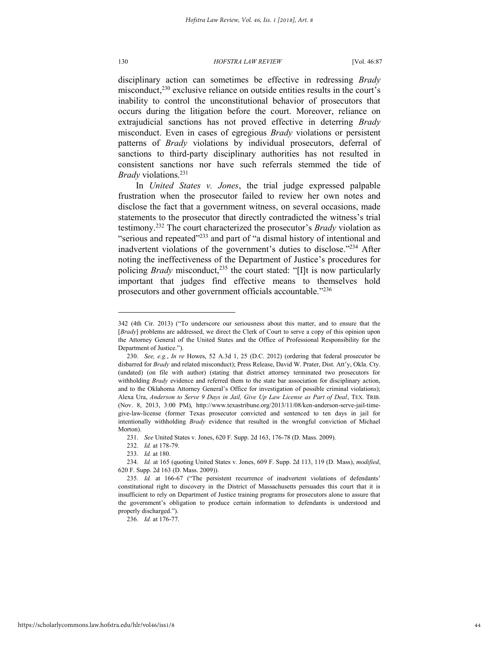disciplinary action can sometimes be effective in redressing *Brady* misconduct,<sup>230</sup> exclusive reliance on outside entities results in the court's inability to control the unconstitutional behavior of prosecutors that occurs during the litigation before the court. Moreover, reliance on extrajudicial sanctions has not proved effective in deterring *Brady* misconduct. Even in cases of egregious *Brady* violations or persistent patterns of *Brady* violations by individual prosecutors, deferral of sanctions to third-party disciplinary authorities has not resulted in consistent sanctions nor have such referrals stemmed the tide of *Brady* violations.<sup>231</sup>

In *United States v. Jones*, the trial judge expressed palpable frustration when the prosecutor failed to review her own notes and disclose the fact that a government witness, on several occasions, made statements to the prosecutor that directly contradicted the witness's trial testimony.<sup>232</sup> The court characterized the prosecutor's *Brady* violation as "serious and repeated"<sup>233</sup> and part of "a dismal history of intentional and inadvertent violations of the government's duties to disclose."<sup>234</sup> After noting the ineffectiveness of the Department of Justice's procedures for policing *Brady* misconduct,<sup>235</sup> the court stated: "[I]t is now particularly important that judges find effective means to themselves hold prosecutors and other government officials accountable."236

236. *Id.* at 176-77.

<sup>342 (4</sup>th Cir. 2013) ("To underscore our seriousness about this matter, and to ensure that the [*Brady*] problems are addressed, we direct the Clerk of Court to serve a copy of this opinion upon the Attorney General of the United States and the Office of Professional Responsibility for the Department of Justice.").

<sup>230.</sup> *See, e.g.*, *In re* Howes, 52 A.3d 1, 25 (D.C. 2012) (ordering that federal prosecutor be disbarred for *Brady* and related misconduct); Press Release, David W. Prater, Dist. Att'y, Okla. Cty. (undated) (on file with author) (stating that district attorney terminated two prosecutors for withholding *Brady* evidence and referred them to the state bar association for disciplinary action, and to the Oklahoma Attorney General's Office for investigation of possible criminal violations); Alexa Ura, *Anderson to Serve 9 Days in Jail, Give Up Law License as Part of Deal*, TEX. TRIB. (Nov. 8, 2013, 3:00 PM), http://www.texastribune.org/2013/11/08/ken-anderson-serve-jail-timegive-law-license (former Texas prosecutor convicted and sentenced to ten days in jail for intentionally withholding *Brady* evidence that resulted in the wrongful conviction of Michael Morton).

<sup>231.</sup> *See* United States v. Jones, 620 F. Supp. 2d 163, 176-78 (D. Mass. 2009).

<sup>232.</sup> *Id.* at 178-79.

<sup>233.</sup> *Id.* at 180.

<sup>234.</sup> *Id.* at 165 (quoting United States v. Jones, 609 F. Supp. 2d 113, 119 (D. Mass), *modified*, 620 F. Supp. 2d 163 (D. Mass. 2009)).

<sup>235.</sup> *Id.* at 166-67 ("The persistent recurrence of inadvertent violations of defendants' constitutional right to discovery in the District of Massachusetts persuades this court that it is insufficient to rely on Department of Justice training programs for prosecutors alone to assure that the government's obligation to produce certain information to defendants is understood and properly discharged.").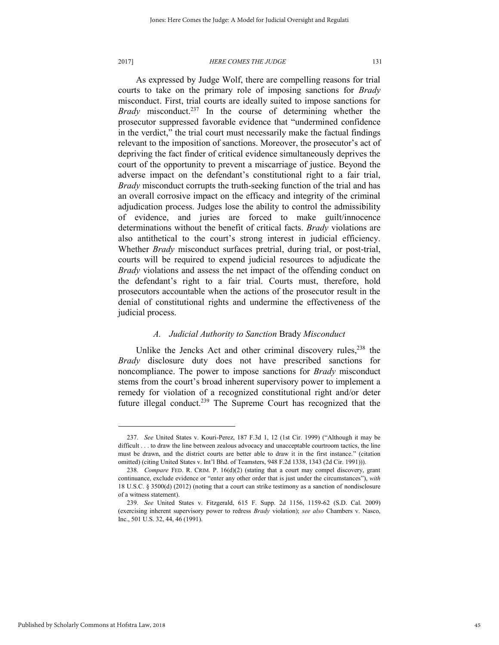As expressed by Judge Wolf, there are compelling reasons for trial courts to take on the primary role of imposing sanctions for *Brady* misconduct. First, trial courts are ideally suited to impose sanctions for *Brady* misconduct.<sup>237</sup> In the course of determining whether the prosecutor suppressed favorable evidence that "undermined confidence in the verdict," the trial court must necessarily make the factual findings relevant to the imposition of sanctions. Moreover, the prosecutor's act of depriving the fact finder of critical evidence simultaneously deprives the court of the opportunity to prevent a miscarriage of justice. Beyond the adverse impact on the defendant's constitutional right to a fair trial, *Brady* misconduct corrupts the truth-seeking function of the trial and has an overall corrosive impact on the efficacy and integrity of the criminal adjudication process. Judges lose the ability to control the admissibility of evidence, and juries are forced to make guilt/innocence determinations without the benefit of critical facts. *Brady* violations are also antithetical to the court's strong interest in judicial efficiency. Whether *Brady* misconduct surfaces pretrial, during trial, or post-trial, courts will be required to expend judicial resources to adjudicate the *Brady* violations and assess the net impact of the offending conduct on the defendant's right to a fair trial. Courts must, therefore, hold prosecutors accountable when the actions of the prosecutor result in the denial of constitutional rights and undermine the effectiveness of the judicial process.

#### *A. Judicial Authority to Sanction* Brady *Misconduct*

Unlike the Jencks Act and other criminal discovery rules, $238$  the *Brady* disclosure duty does not have prescribed sanctions for noncompliance. The power to impose sanctions for *Brady* misconduct stems from the court's broad inherent supervisory power to implement a remedy for violation of a recognized constitutional right and/or deter future illegal conduct.<sup>239</sup> The Supreme Court has recognized that the

<sup>237.</sup> *See* United States v. Kouri-Perez, 187 F.3d 1, 12 (1st Cir. 1999) ("Although it may be difficult . . . to draw the line between zealous advocacy and unacceptable courtroom tactics, the line must be drawn, and the district courts are better able to draw it in the first instance." (citation omitted) (citing United States v. Int'l Bhd. of Teamsters, 948 F.2d 1338, 1343 (2d Cir. 1991))).

<sup>238.</sup> *Compare* FED. R. CRIM. P. 16(d)(2) (stating that a court may compel discovery, grant continuance, exclude evidence or "enter any other order that is just under the circumstances"), *with* 18 U.S.C. § 3500(d) (2012) (noting that a court can strike testimony as a sanction of nondisclosure of a witness statement).

<sup>239.</sup> *See* United States v. Fitzgerald, 615 F. Supp. 2d 1156, 1159-62 (S.D. Cal. 2009) (exercising inherent supervisory power to redress *Brady* violation); *see also* Chambers v. Nasco, Inc., 501 U.S. 32, 44, 46 (1991).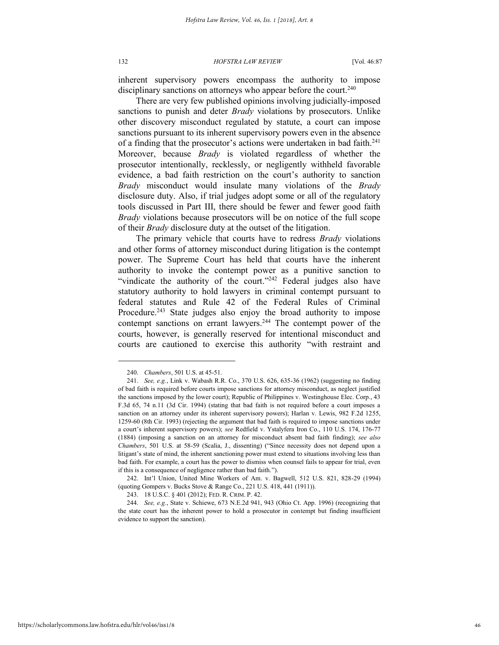inherent supervisory powers encompass the authority to impose disciplinary sanctions on attorneys who appear before the court.<sup>240</sup>

There are very few published opinions involving judicially-imposed sanctions to punish and deter *Brady* violations by prosecutors. Unlike other discovery misconduct regulated by statute, a court can impose sanctions pursuant to its inherent supervisory powers even in the absence of a finding that the prosecutor's actions were undertaken in bad faith.<sup>241</sup> Moreover, because *Brady* is violated regardless of whether the prosecutor intentionally, recklessly, or negligently withheld favorable evidence, a bad faith restriction on the court's authority to sanction *Brady* misconduct would insulate many violations of the *Brady* disclosure duty. Also, if trial judges adopt some or all of the regulatory tools discussed in Part III, there should be fewer and fewer good faith *Brady* violations because prosecutors will be on notice of the full scope of their *Brady* disclosure duty at the outset of the litigation.

The primary vehicle that courts have to redress *Brady* violations and other forms of attorney misconduct during litigation is the contempt power. The Supreme Court has held that courts have the inherent authority to invoke the contempt power as a punitive sanction to "vindicate the authority of the court."<sup>242</sup> Federal judges also have statutory authority to hold lawyers in criminal contempt pursuant to federal statutes and Rule 42 of the Federal Rules of Criminal Procedure.<sup>243</sup> State judges also enjoy the broad authority to impose contempt sanctions on errant lawyers.<sup>244</sup> The contempt power of the courts, however, is generally reserved for intentional misconduct and courts are cautioned to exercise this authority "with restraint and

l

242. Int'l Union, United Mine Workers of Am. v. Bagwell, 512 U.S. 821, 828-29 (1994) (quoting Gompers v. Bucks Stove & Range Co., 221 U.S. 418, 441 (1911)).

<sup>240.</sup> *Chambers*, 501 U.S. at 45-51.

<sup>241.</sup> *See, e.g.*, Link v. Wabash R.R. Co., 370 U.S. 626, 635-36 (1962) (suggesting no finding of bad faith is required before courts impose sanctions for attorney misconduct, as neglect justified the sanctions imposed by the lower court); Republic of Philippines v. Westinghouse Elec. Corp., 43 F.3d 65, 74 n.11 (3d Cir. 1994) (stating that bad faith is not required before a court imposes a sanction on an attorney under its inherent supervisory powers); Harlan v. Lewis, 982 F.2d 1255, 1259-60 (8th Cir. 1993) (rejecting the argument that bad faith is required to impose sanctions under a court's inherent supervisory powers); *see* Redfield v. Ystalyfera Iron Co., 110 U.S. 174, 176-77 (1884) (imposing a sanction on an attorney for misconduct absent bad faith finding); *see also Chambers*, 501 U.S. at 58-59 (Scalia, J., dissenting) ("Since necessity does not depend upon a litigant's state of mind, the inherent sanctioning power must extend to situations involving less than bad faith. For example, a court has the power to dismiss when counsel fails to appear for trial, even if this is a consequence of negligence rather than bad faith.").

<sup>243. 18</sup> U.S.C. § 401 (2012); FED. R. CRIM. P. 42.

<sup>244.</sup> *See, e.g.*, State v. Schiewe, 673 N.E.2d 941, 943 (Ohio Ct. App. 1996) (recognizing that the state court has the inherent power to hold a prosecutor in contempt but finding insufficient evidence to support the sanction).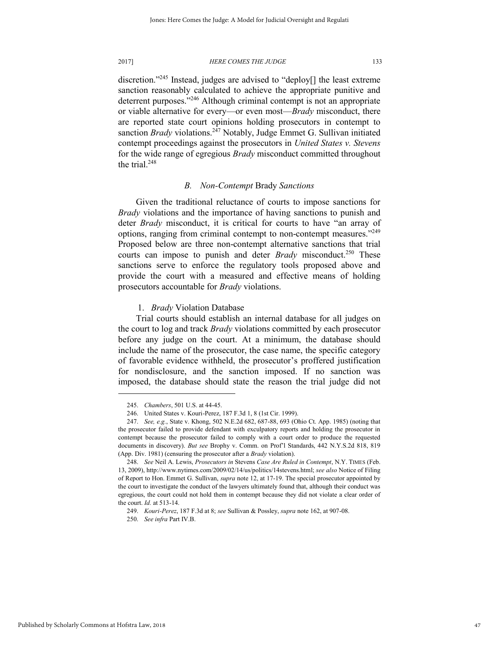discretion." <sup>245</sup> Instead, judges are advised to "deploy[] the least extreme sanction reasonably calculated to achieve the appropriate punitive and deterrent purposes." <sup>246</sup> Although criminal contempt is not an appropriate or viable alternative for every—or even most—*Brady* misconduct, there are reported state court opinions holding prosecutors in contempt to sanction *Brady* violations.<sup>247</sup> Notably, Judge Emmet G. Sullivan initiated contempt proceedings against the prosecutors in *United States v. Stevens* for the wide range of egregious *Brady* misconduct committed throughout the trial. $248$ 

#### *B. Non-Contempt* Brady *Sanctions*

Given the traditional reluctance of courts to impose sanctions for *Brady* violations and the importance of having sanctions to punish and deter *Brady* misconduct, it is critical for courts to have "an array of options, ranging from criminal contempt to non-contempt measures."249 Proposed below are three non-contempt alternative sanctions that trial courts can impose to punish and deter *Brady* misconduct.<sup>250</sup> These sanctions serve to enforce the regulatory tools proposed above and provide the court with a measured and effective means of holding prosecutors accountable for *Brady* violations.

#### 1. *Brady* Violation Database

Trial courts should establish an internal database for all judges on the court to log and track *Brady* violations committed by each prosecutor before any judge on the court. At a minimum, the database should include the name of the prosecutor, the case name, the specific category of favorable evidence withheld, the prosecutor's proffered justification for nondisclosure, and the sanction imposed. If no sanction was imposed, the database should state the reason the trial judge did not

<sup>245.</sup> *Chambers*, 501 U.S. at 44-45.

<sup>246.</sup> United States v. Kouri-Perez, 187 F.3d 1, 8 (1st Cir. 1999).

<sup>247.</sup> *See, e.g.*, State v. Khong, 502 N.E.2d 682, 687-88, 693 (Ohio Ct. App. 1985) (noting that the prosecutor failed to provide defendant with exculpatory reports and holding the prosecutor in contempt because the prosecutor failed to comply with a court order to produce the requested documents in discovery). *But see* Brophy v. Comm. on Prof'l Standards, 442 N.Y.S.2d 818, 819 (App. Div. 1981) (censuring the prosecutor after a *Brady* violation).

<sup>248.</sup> *See* Neil A. Lewis, *Prosecutors in* Stevens *Case Are Ruled in Contempt*, N.Y. TIMES (Feb. 13, 2009), http://www.nytimes.com/2009/02/14/us/politics/14stevens.html; *see also* Notice of Filing of Report to Hon. Emmet G. Sullivan, *supra* note 12, at 17-19. The special prosecutor appointed by the court to investigate the conduct of the lawyers ultimately found that, although their conduct was egregious, the court could not hold them in contempt because they did not violate a clear order of the court. *Id.* at 513-14.

<sup>249.</sup> *Kouri-Perez*, 187 F.3d at 8; *see* Sullivan & Possley, *supra* note 162, at 907-08.

<sup>250.</sup> *See infra* Part IV.B.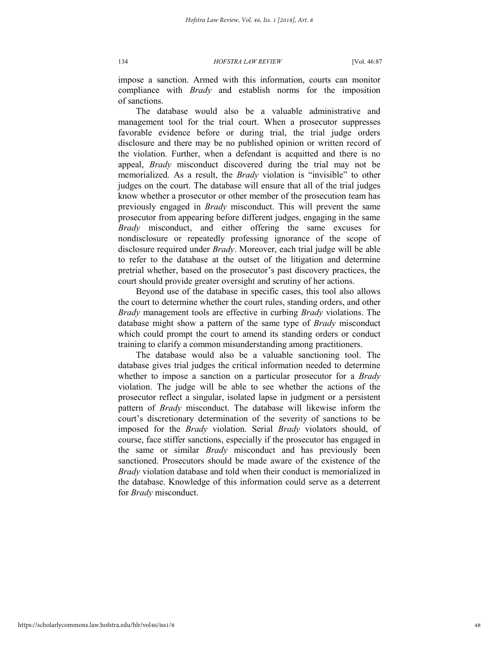impose a sanction. Armed with this information, courts can monitor compliance with *Brady* and establish norms for the imposition of sanctions.

The database would also be a valuable administrative and management tool for the trial court. When a prosecutor suppresses favorable evidence before or during trial, the trial judge orders disclosure and there may be no published opinion or written record of the violation. Further, when a defendant is acquitted and there is no appeal, *Brady* misconduct discovered during the trial may not be memorialized. As a result, the *Brady* violation is "invisible" to other judges on the court. The database will ensure that all of the trial judges know whether a prosecutor or other member of the prosecution team has previously engaged in *Brady* misconduct. This will prevent the same prosecutor from appearing before different judges, engaging in the same *Brady* misconduct, and either offering the same excuses for nondisclosure or repeatedly professing ignorance of the scope of disclosure required under *Brady*. Moreover, each trial judge will be able to refer to the database at the outset of the litigation and determine pretrial whether, based on the prosecutor's past discovery practices, the court should provide greater oversight and scrutiny of her actions.

Beyond use of the database in specific cases, this tool also allows the court to determine whether the court rules, standing orders, and other *Brady* management tools are effective in curbing *Brady* violations. The database might show a pattern of the same type of *Brady* misconduct which could prompt the court to amend its standing orders or conduct training to clarify a common misunderstanding among practitioners.

The database would also be a valuable sanctioning tool. The database gives trial judges the critical information needed to determine whether to impose a sanction on a particular prosecutor for a *Brady* violation. The judge will be able to see whether the actions of the prosecutor reflect a singular, isolated lapse in judgment or a persistent pattern of *Brady* misconduct. The database will likewise inform the court's discretionary determination of the severity of sanctions to be imposed for the *Brady* violation. Serial *Brady* violators should, of course, face stiffer sanctions, especially if the prosecutor has engaged in the same or similar *Brady* misconduct and has previously been sanctioned. Prosecutors should be made aware of the existence of the *Brady* violation database and told when their conduct is memorialized in the database. Knowledge of this information could serve as a deterrent for *Brady* misconduct.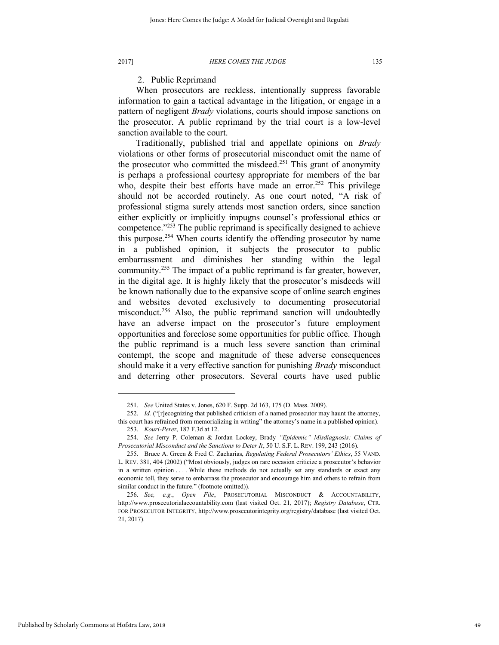# 2. Public Reprimand

When prosecutors are reckless, intentionally suppress favorable information to gain a tactical advantage in the litigation, or engage in a pattern of negligent *Brady* violations, courts should impose sanctions on the prosecutor. A public reprimand by the trial court is a low-level sanction available to the court.

Traditionally, published trial and appellate opinions on *Brady* violations or other forms of prosecutorial misconduct omit the name of the prosecutor who committed the misdeed.<sup>251</sup> This grant of anonymity is perhaps a professional courtesy appropriate for members of the bar who, despite their best efforts have made an error.<sup>252</sup> This privilege should not be accorded routinely. As one court noted, "A risk of professional stigma surely attends most sanction orders, since sanction either explicitly or implicitly impugns counsel's professional ethics or competence." <sup>253</sup> The public reprimand is specifically designed to achieve this purpose.<sup>254</sup> When courts identify the offending prosecutor by name in a published opinion, it subjects the prosecutor to public embarrassment and diminishes her standing within the legal community.<sup>255</sup> The impact of a public reprimand is far greater, however, in the digital age. It is highly likely that the prosecutor's misdeeds will be known nationally due to the expansive scope of online search engines and websites devoted exclusively to documenting prosecutorial misconduct.<sup>256</sup> Also, the public reprimand sanction will undoubtedly have an adverse impact on the prosecutor's future employment opportunities and foreclose some opportunities for public office. Though the public reprimand is a much less severe sanction than criminal contempt, the scope and magnitude of these adverse consequences should make it a very effective sanction for punishing *Brady* misconduct and deterring other prosecutors. Several courts have used public

<sup>251.</sup> *See* United States v. Jones, 620 F. Supp. 2d 163, 175 (D. Mass. 2009).

<sup>252.</sup> *Id.* ("[r]ecognizing that published criticism of a named prosecutor may haunt the attorney, this court has refrained from memorializing in writing" the attorney's name in a published opinion).

<sup>253.</sup> *Kouri-Perez*, 187 F.3d at 12.

<sup>254.</sup> *See* Jerry P. Coleman & Jordan Lockey, Brady *"Epidemic" Misdiagnosis: Claims of Prosecutorial Misconduct and the Sanctions to Deter It*, 50 U. S.F. L. REV. 199, 243 (2016).

<sup>255.</sup> Bruce A. Green & Fred C. Zacharias, *Regulating Federal Prosecutors' Ethics*, 55 VAND. L. REV. 381, 404 (2002) ("Most obviously, judges on rare occasion criticize a prosecutor's behavior in a written opinion . . . While these methods do not actually set any standards or exact any economic toll, they serve to embarrass the prosecutor and encourage him and others to refrain from similar conduct in the future." (footnote omitted)).

<sup>256.</sup> *See, e.g.*, *Open File*, PROSECUTORIAL MISCONDUCT & ACCOUNTABILITY, http://www.prosecutorialaccountability.com (last visited Oct. 21, 2017); *Registry Database*, CTR. FOR PROSECUTOR INTEGRITY, http://www.prosecutorintegrity.org/registry/database (last visited Oct. 21, 2017).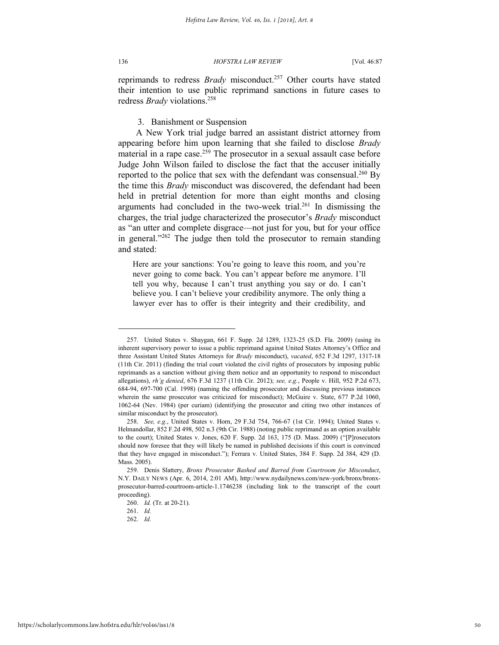reprimands to redress *Brady* misconduct.<sup>257</sup> Other courts have stated their intention to use public reprimand sanctions in future cases to redress *Brady* violations.<sup>258</sup>

#### 3. Banishment or Suspension

A New York trial judge barred an assistant district attorney from appearing before him upon learning that she failed to disclose *Brady* material in a rape case.<sup>259</sup> The prosecutor in a sexual assault case before Judge John Wilson failed to disclose the fact that the accuser initially reported to the police that sex with the defendant was consensual.<sup>260</sup> By the time this *Brady* misconduct was discovered, the defendant had been held in pretrial detention for more than eight months and closing arguments had concluded in the two-week trial. $261$  In dismissing the charges, the trial judge characterized the prosecutor's *Brady* misconduct as "an utter and complete disgrace—not just for you, but for your office in general." <sup>262</sup> The judge then told the prosecutor to remain standing and stated:

Here are your sanctions: You're going to leave this room, and you're never going to come back. You can't appear before me anymore. I'll tell you why, because I can't trust anything you say or do. I can't believe you. I can't believe your credibility anymore. The only thing a lawyer ever has to offer is their integrity and their credibility, and

<sup>257.</sup> United States v. Shaygan, 661 F. Supp. 2d 1289, 1323-25 (S.D. Fla. 2009) (using its inherent supervisory power to issue a public reprimand against United States Attorney's Office and three Assistant United States Attorneys for *Brady* misconduct), *vacated*, 652 F.3d 1297, 1317-18 (11th Cir. 2011) (finding the trial court violated the civil rights of prosecutors by imposing public reprimands as a sanction without giving them notice and an opportunity to respond to misconduct allegations), *rh'g denied*, 676 F.3d 1237 (11th Cir. 2012); *see, e.g.*, People v. Hill, 952 P.2d 673, 684-94, 697-700 (Cal. 1998) (naming the offending prosecutor and discussing previous instances wherein the same prosecutor was criticized for misconduct); McGuire v. State, 677 P.2d 1060, 1062-64 (Nev. 1984) (per curiam) (identifying the prosecutor and citing two other instances of similar misconduct by the prosecutor).

<sup>258.</sup> *See, e.g.*, United States v. Horn, 29 F.3d 754, 766-67 (1st Cir. 1994); United States v. Helmandollar, 852 F.2d 498, 502 n.3 (9th Cir. 1988) (noting public reprimand as an option available to the court); United States v. Jones, 620 F. Supp. 2d 163, 175 (D. Mass. 2009) ("[P]rosecutors should now foresee that they will likely be named in published decisions if this court is convinced that they have engaged in misconduct."); Ferrara v. United States, 384 F. Supp. 2d 384, 429 (D. Mass. 2005).

<sup>259.</sup> Denis Slattery, *Bronx Prosecutor Bashed and Barred from Courtroom for Misconduct*, N.Y. DAILY NEWS (Apr. 6, 2014, 2:01 AM), http://www.nydailynews.com/new-york/bronx/bronxprosecutor-barred-courtroom-article-1.1746238 (including link to the transcript of the court proceeding).

<sup>260.</sup> *Id.* (Tr. at 20-21).

<sup>261.</sup> *Id.*

<sup>262.</sup> *Id.*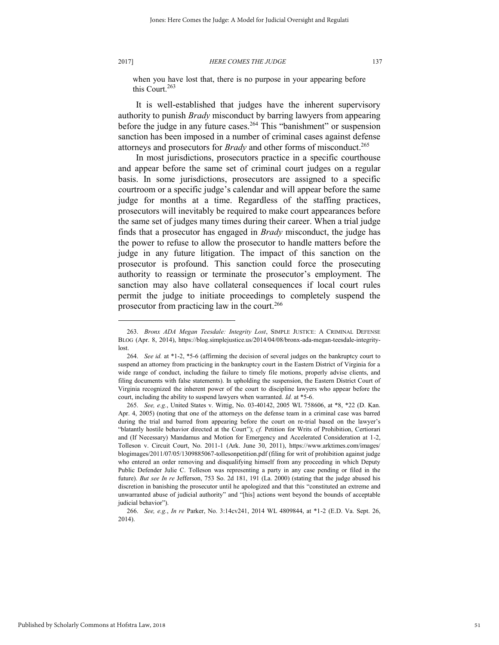l

#### 2017] *HERE COMES THE JUDGE* 137

when you have lost that, there is no purpose in your appearing before this Court.<sup>263</sup>

It is well-established that judges have the inherent supervisory authority to punish *Brady* misconduct by barring lawyers from appearing before the judge in any future cases.<sup>264</sup> This "banishment" or suspension sanction has been imposed in a number of criminal cases against defense attorneys and prosecutors for *Brady* and other forms of misconduct.<sup>265</sup>

In most jurisdictions, prosecutors practice in a specific courthouse and appear before the same set of criminal court judges on a regular basis. In some jurisdictions, prosecutors are assigned to a specific courtroom or a specific judge's calendar and will appear before the same judge for months at a time. Regardless of the staffing practices, prosecutors will inevitably be required to make court appearances before the same set of judges many times during their career. When a trial judge finds that a prosecutor has engaged in *Brady* misconduct, the judge has the power to refuse to allow the prosecutor to handle matters before the judge in any future litigation. The impact of this sanction on the prosecutor is profound. This sanction could force the prosecuting authority to reassign or terminate the prosecutor's employment. The sanction may also have collateral consequences if local court rules permit the judge to initiate proceedings to completely suspend the prosecutor from practicing law in the court.<sup>266</sup>

<sup>263.</sup> *Bronx ADA Megan Teesdale: Integrity Lost*, SIMPLE JUSTICE: A CRIMINAL DEFENSE BLOG (Apr. 8, 2014), https://blog.simplejustice.us/2014/04/08/bronx-ada-megan-teesdale-integritylost.

<sup>264.</sup> *See id.* at \*1-2, \*5-6 (affirming the decision of several judges on the bankruptcy court to suspend an attorney from practicing in the bankruptcy court in the Eastern District of Virginia for a wide range of conduct, including the failure to timely file motions, properly advise clients, and filing documents with false statements). In upholding the suspension, the Eastern District Court of Virginia recognized the inherent power of the court to discipline lawyers who appear before the court, including the ability to suspend lawyers when warranted. *Id.* at \*5-6.

<sup>265.</sup> *See, e.g.*, United States v. Wittig, No. 03-40142, 2005 WL 758606, at \*8, \*22 (D. Kan. Apr. 4, 2005) (noting that one of the attorneys on the defense team in a criminal case was barred during the trial and barred from appearing before the court on re-trial based on the lawyer's "blatantly hostile behavior directed at the Court"); *cf.* Petition for Writs of Prohibition, Certiorari and (If Necessary) Mandamus and Motion for Emergency and Accelerated Consideration at 1-2, Tolleson v. Circuit Court, No. 2011-1 (Ark. June 30, 2011), https://www.arktimes.com/images/ blogimages/2011/07/05/1309885067-tollesonpetition.pdf (filing for writ of prohibition against judge who entered an order removing and disqualifying himself from any proceeding in which Deputy Public Defender Julie C. Tolleson was representing a party in any case pending or filed in the future). *But see In re* Jefferson, 753 So. 2d 181, 191 (La. 2000) (stating that the judge abused his discretion in banishing the prosecutor until he apologized and that this "constituted an extreme and unwarranted abuse of judicial authority" and "[his] actions went beyond the bounds of acceptable judicial behavior").

<sup>266.</sup> *See, e.g.*, *In re* Parker, No. 3:14cv241, 2014 WL 4809844, at \*1-2 (E.D. Va. Sept. 26, 2014).